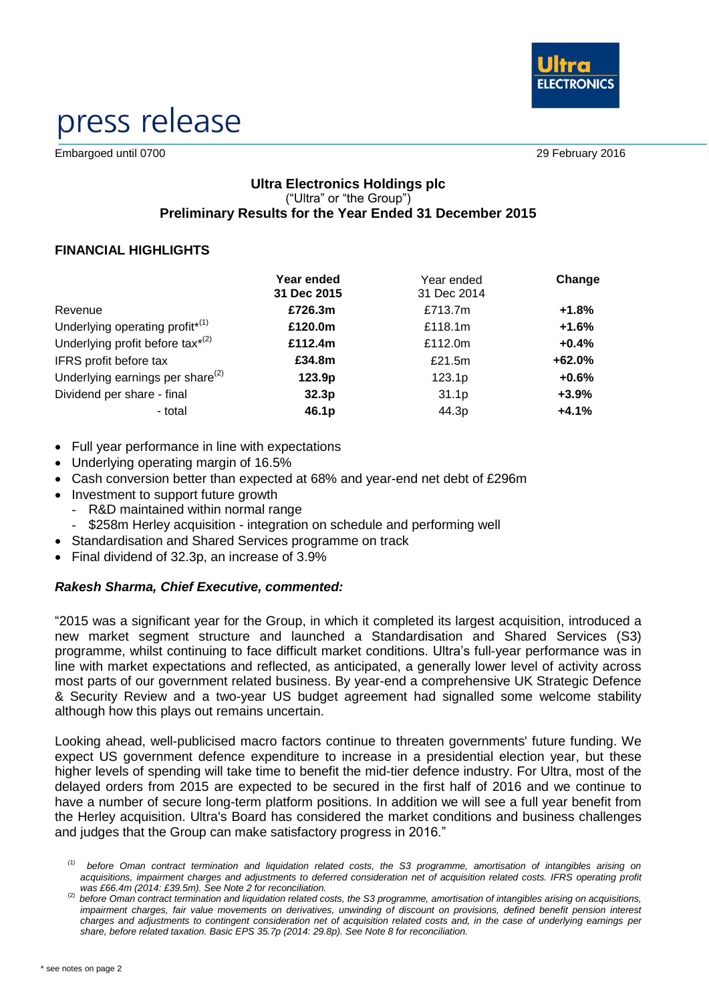

# press release

Embargoed until 0700 29 February 2016

# **Ultra Electronics Holdings plc** ("Ultra" or "the Group") **Preliminary Results for the Year Ended 31 December 2015**

# **FINANCIAL HIGHLIGHTS**

|                                             | Year ended<br>31 Dec 2015 | Year ended<br>31 Dec 2014 | Change   |
|---------------------------------------------|---------------------------|---------------------------|----------|
| Revenue                                     | £726.3m                   | £713.7m                   | $+1.8%$  |
| Underlying operating profit <sup>*(1)</sup> | £120.0m                   | £118.1m                   | $+1.6%$  |
| Underlying profit before tax $^{*(2)}$      | £112.4m                   | £112.0m                   | $+0.4%$  |
| IFRS profit before tax                      | £34.8m                    | £21.5m                    | $+62.0%$ |
| Underlying earnings per share $^{(2)}$      | 123.9 <sub>p</sub>        | 123.1p                    | $+0.6%$  |
| Dividend per share - final                  | 32.3 <sub>p</sub>         | 31.1 <sub>p</sub>         | $+3.9%$  |
| - total                                     | 46.1p                     | 44.3p                     | $+4.1%$  |

- Full year performance in line with expectations
- Underlying operating margin of 16.5%
- Cash conversion better than expected at 68% and year-end net debt of £296m
- Investment to support future growth
	- R&D maintained within normal range
	- \$258m Herley acquisition integration on schedule and performing well
- Standardisation and Shared Services programme on track
- Final dividend of 32.3p, an increase of 3.9%

# *Rakesh Sharma, Chief Executive, commented:*

"2015 was a significant year for the Group, in which it completed its largest acquisition, introduced a new market segment structure and launched a Standardisation and Shared Services (S3) programme, whilst continuing to face difficult market conditions. Ultra's full-year performance was in line with market expectations and reflected, as anticipated, a generally lower level of activity across most parts of our government related business. By year-end a comprehensive UK Strategic Defence & Security Review and a two-year US budget agreement had signalled some welcome stability although how this plays out remains uncertain.

Looking ahead, well-publicised macro factors continue to threaten governments' future funding. We expect US government defence expenditure to increase in a presidential election year, but these higher levels of spending will take time to benefit the mid-tier defence industry. For Ultra, most of the delayed orders from 2015 are expected to be secured in the first half of 2016 and we continue to have a number of secure long-term platform positions. In addition we will see a full year benefit from the Herley acquisition. Ultra's Board has considered the market conditions and business challenges and judges that the Group can make satisfactory progress in 2016."

*<sup>(1)</sup> before Oman contract termination and liquidation related costs, the S3 programme, amortisation of intangibles arising on acquisitions, impairment charges and adjustments to deferred consideration net of acquisition related costs. IFRS operating profit was £66.4m (2014: £39.5m). See Note 2 for reconciliation.*

<sup>(2)</sup> *before Oman contract termination and liquidation related costs, the S3 programme, amortisation of intangibles arising on acquisitions, impairment charges, fair value movements on derivatives, unwinding of discount on provisions, defined benefit pension interest charges and adjustments to contingent consideration net of acquisition related costs and, in the case of underlying earnings per share, before related taxation. Basic EPS 35.7p (2014: 29.8p). See Note 8 for reconciliation.*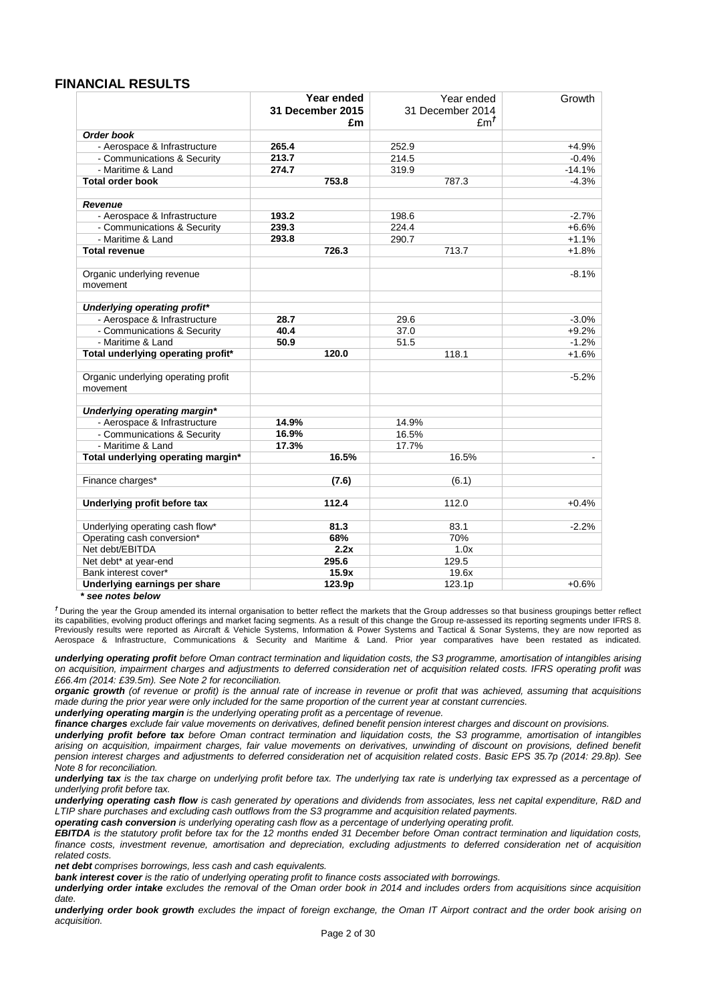#### **FINANCIAL RESULTS**

|                                                 | Year ended       | Year ended       | Growth   |
|-------------------------------------------------|------------------|------------------|----------|
|                                                 | 31 December 2015 | 31 December 2014 |          |
|                                                 | £m               | Em <sup>T</sup>  |          |
| Order book                                      |                  |                  |          |
| - Aerospace & Infrastructure                    | 265.4            | 252.9            | $+4.9%$  |
| - Communications & Security                     | 213.7            | 214.5            | $-0.4%$  |
| - Maritime & Land                               | 274.7            | 319.9            | $-14.1%$ |
| <b>Total order book</b>                         | 753.8            | 787.3            | $-4.3%$  |
|                                                 |                  |                  |          |
| <b>Revenue</b>                                  |                  |                  |          |
| - Aerospace & Infrastructure                    | 193.2            | 198.6            | $-2.7%$  |
| - Communications & Security                     | 239.3            | 224.4            | $+6.6%$  |
| - Maritime & Land                               | 293.8            | 290.7            | $+1.1%$  |
| <b>Total revenue</b>                            | 726.3            | 713.7            | $+1.8%$  |
| Organic underlying revenue                      |                  |                  | $-8.1%$  |
| movement                                        |                  |                  |          |
|                                                 |                  |                  |          |
| Underlying operating profit*                    |                  |                  |          |
| - Aerospace & Infrastructure                    | 28.7             | 29.6             | $-3.0%$  |
| - Communications & Security                     | 40.4             | 37.0             | $+9.2%$  |
| - Maritime & Land                               | 50.9             | 51.5             | $-1.2%$  |
| Total underlying operating profit*              | 120.0            | 118.1            | $+1.6%$  |
|                                                 |                  |                  |          |
| Organic underlying operating profit<br>movement |                  |                  | $-5.2%$  |
|                                                 |                  |                  |          |
| Underlying operating margin*                    |                  |                  |          |
| - Aerospace & Infrastructure                    | 14.9%            | 14.9%            |          |
| - Communications & Security                     | 16.9%            | 16.5%            |          |
| - Maritime & Land                               | 17.3%            | 17.7%            |          |
| Total underlying operating margin*              | 16.5%            | 16.5%            |          |
|                                                 |                  |                  |          |
| Finance charges*                                | (7.6)            | (6.1)            |          |
| Underlying profit before tax                    | 112.4            | 112.0            | $+0.4%$  |
|                                                 |                  |                  |          |
| Underlying operating cash flow*                 | 81.3             | 83.1             | $-2.2%$  |
| Operating cash conversion*                      | 68%              | 70%              |          |
| Net debt/EBITDA                                 | 2.2x             | 1.0x             |          |
| Net debt* at year-end                           | 295.6            | 129.5            |          |
| Bank interest cover*                            | 15.9x            | 19.6x            |          |
| Underlying earnings per share                   | 123.9p           | 123.1p           | $+0.6%$  |

*\* see notes below*

*†* During the year the Group amended its internal organisation to better reflect the markets that the Group addresses so that business groupings better reflect its capabilities, evolving product offerings and market facing segments. As a result of this change the Group re-assessed its reporting segments under IFRS 8. Previously results were reported as Aircraft & Vehicle Systems, Information & Power Systems and Tactical & Sonar Systems, they are now reported as Aerospace & Infrastructure, Communications & Security and Maritime & Land. Prior year comparatives have been restated as indicated.

*underlying operating profit before Oman contract termination and liquidation costs, the S3 programme, amortisation of intangibles arising on acquisition, impairment charges and adjustments to deferred consideration net of acquisition related costs. IFRS operating profit was £66.4m (2014: £39.5m). See Note 2 for reconciliation.*

*organic growth (of revenue or profit) is the annual rate of increase in revenue or profit that was achieved, assuming that acquisitions made during the prior year were only included for the same proportion of the current year at constant currencies.*

*underlying operating margin is the underlying operating profit as a percentage of revenue.*

*finance charges exclude fair value movements on derivatives, defined benefit pension interest charges and discount on provisions.*

*underlying profit before tax before Oman contract termination and liquidation costs, the S3 programme, amortisation of intangibles arising on acquisition, impairment charges, fair value movements on derivatives, unwinding of discount on provisions, defined benefit pension interest charges and adjustments to deferred consideration net of acquisition related costs. Basic EPS 35.7p (2014: 29.8p). See Note 8 for reconciliation.*

*underlying tax is the tax charge on underlying profit before tax. The underlying tax rate is underlying tax expressed as a percentage of underlying profit before tax.*

*underlying operating cash flow is cash generated by operations and dividends from associates, less net capital expenditure, R&D and LTIP share purchases and excluding cash outflows from the S3 programme and acquisition related payments.*

*operating cash conversion is underlying operating cash flow as a percentage of underlying operating profit.*

*EBITDA is the statutory profit before tax for the 12 months ended 31 December before Oman contract termination and liquidation costs, finance costs, investment revenue, amortisation and depreciation, excluding adjustments to deferred consideration net of acquisition related costs.* 

*net debt comprises borrowings, less cash and cash equivalents.*

*bank interest cover is the ratio of underlying operating profit to finance costs associated with borrowings.*

*underlying order intake excludes the removal of the Oman order book in 2014 and includes orders from acquisitions since acquisition date.*

*underlying order book growth excludes the impact of foreign exchange, the Oman IT Airport contract and the order book arising on acquisition.*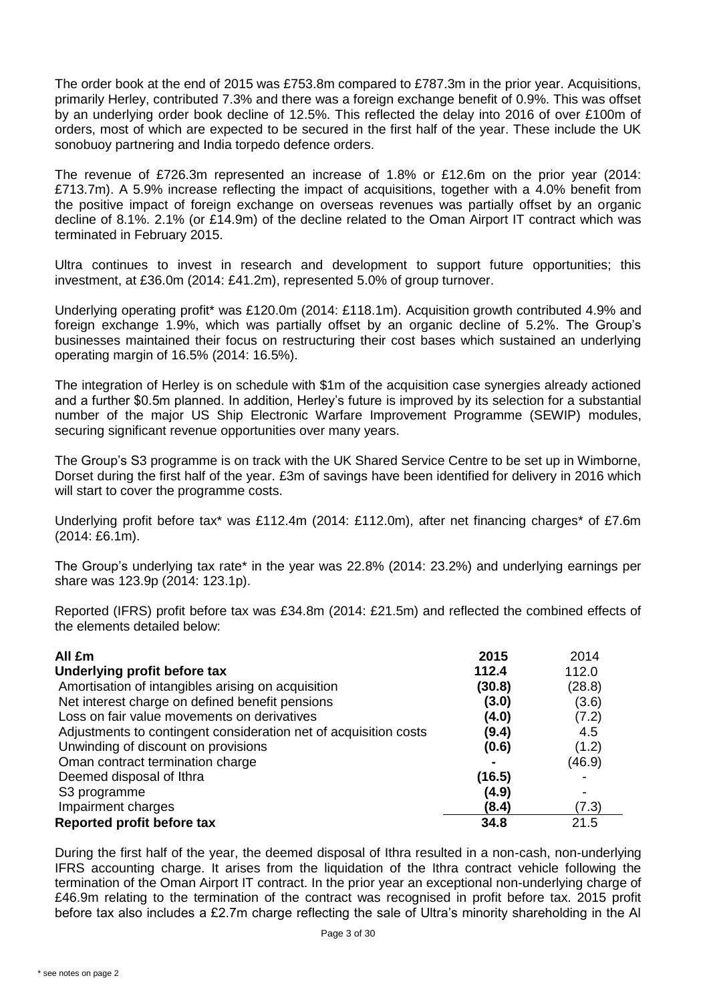The order book at the end of 2015 was £753.8m compared to £787.3m in the prior year. Acquisitions, primarily Herley, contributed 7.3% and there was a foreign exchange benefit of 0.9%. This was offset by an underlying order book decline of 12.5%. This reflected the delay into 2016 of over £100m of orders, most of which are expected to be secured in the first half of the year. These include the UK sonobuoy partnering and India torpedo defence orders.

The revenue of £726.3m represented an increase of 1.8% or £12.6m on the prior year (2014: £713.7m). A 5.9% increase reflecting the impact of acquisitions, together with a 4.0% benefit from the positive impact of foreign exchange on overseas revenues was partially offset by an organic decline of 8.1%. 2.1% (or £14.9m) of the decline related to the Oman Airport IT contract which was terminated in February 2015.

Ultra continues to invest in research and development to support future opportunities; this investment, at £36.0m (2014: £41.2m), represented 5.0% of group turnover.

Underlying operating profit\* was £120.0m (2014: £118.1m). Acquisition growth contributed 4.9% and foreign exchange 1.9%, which was partially offset by an organic decline of 5.2%. The Group's businesses maintained their focus on restructuring their cost bases which sustained an underlying operating margin of 16.5% (2014: 16.5%).

The integration of Herley is on schedule with \$1m of the acquisition case synergies already actioned and a further \$0.5m planned. In addition, Herley's future is improved by its selection for a substantial number of the major US Ship Electronic Warfare Improvement Programme (SEWIP) modules, securing significant revenue opportunities over many years.

The Group's S3 programme is on track with the UK Shared Service Centre to be set up in Wimborne, Dorset during the first half of the year. £3m of savings have been identified for delivery in 2016 which will start to cover the programme costs.

Underlying profit before tax\* was £112.4m (2014: £112.0m), after net financing charges\* of £7.6m (2014: £6.1m).

The Group's underlying tax rate\* in the year was 22.8% (2014: 23.2%) and underlying earnings per share was 123.9p (2014: 123.1p).

Reported (IFRS) profit before tax was £34.8m (2014: £21.5m) and reflected the combined effects of the elements detailed below:

| All £m                                                           | 2015   | 2014   |
|------------------------------------------------------------------|--------|--------|
| Underlying profit before tax                                     | 112.4  | 112.0  |
| Amortisation of intangibles arising on acquisition               | (30.8) | (28.8) |
| Net interest charge on defined benefit pensions                  | (3.0)  | (3.6)  |
| Loss on fair value movements on derivatives                      | (4.0)  | (7.2)  |
| Adjustments to contingent consideration net of acquisition costs | (9.4)  | 4.5    |
| Unwinding of discount on provisions                              | (0.6)  | (1.2)  |
| Oman contract termination charge                                 |        | (46.9) |
| Deemed disposal of Ithra                                         | (16.5) |        |
| S <sub>3</sub> programme                                         | (4.9)  |        |
| Impairment charges                                               | (8.4)  | (7.3)  |
| Reported profit before tax                                       | 34.8   | 21.5   |

During the first half of the year, the deemed disposal of Ithra resulted in a non-cash, non-underlying IFRS accounting charge. It arises from the liquidation of the Ithra contract vehicle following the termination of the Oman Airport IT contract. In the prior year an exceptional non-underlying charge of £46.9m relating to the termination of the contract was recognised in profit before tax. 2015 profit before tax also includes a £2.7m charge reflecting the sale of Ultra's minority shareholding in the Al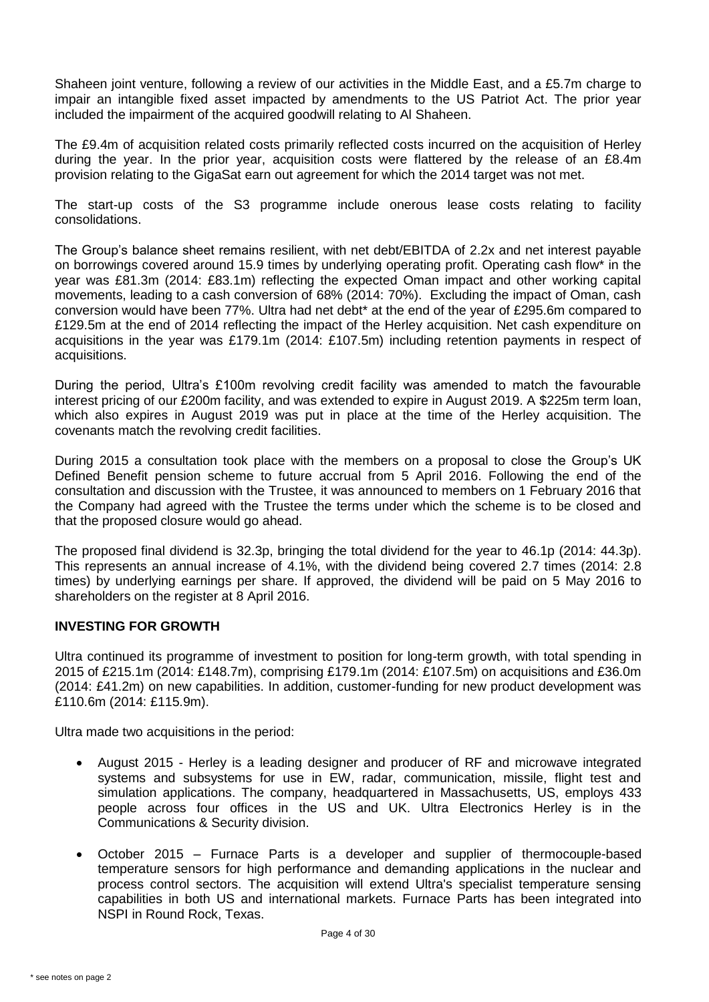Shaheen joint venture, following a review of our activities in the Middle East, and a £5.7m charge to impair an intangible fixed asset impacted by amendments to the US Patriot Act. The prior year included the impairment of the acquired goodwill relating to Al Shaheen.

The £9.4m of acquisition related costs primarily reflected costs incurred on the acquisition of Herley during the year. In the prior year, acquisition costs were flattered by the release of an £8.4m provision relating to the GigaSat earn out agreement for which the 2014 target was not met.

The start-up costs of the S3 programme include onerous lease costs relating to facility consolidations.

The Group's balance sheet remains resilient, with net debt/EBITDA of 2.2x and net interest payable on borrowings covered around 15.9 times by underlying operating profit. Operating cash flow\* in the year was £81.3m (2014: £83.1m) reflecting the expected Oman impact and other working capital movements, leading to a cash conversion of 68% (2014: 70%). Excluding the impact of Oman, cash conversion would have been 77%. Ultra had net debt\* at the end of the year of £295.6m compared to £129.5m at the end of 2014 reflecting the impact of the Herley acquisition. Net cash expenditure on acquisitions in the year was £179.1m (2014: £107.5m) including retention payments in respect of acquisitions.

During the period, Ultra's £100m revolving credit facility was amended to match the favourable interest pricing of our £200m facility, and was extended to expire in August 2019. A \$225m term loan, which also expires in August 2019 was put in place at the time of the Herley acquisition. The covenants match the revolving credit facilities.

During 2015 a consultation took place with the members on a proposal to close the Group's UK Defined Benefit pension scheme to future accrual from 5 April 2016. Following the end of the consultation and discussion with the Trustee, it was announced to members on 1 February 2016 that the Company had agreed with the Trustee the terms under which the scheme is to be closed and that the proposed closure would go ahead.

The proposed final dividend is 32.3p, bringing the total dividend for the year to 46.1p (2014: 44.3p). This represents an annual increase of 4.1%, with the dividend being covered 2.7 times (2014: 2.8 times) by underlying earnings per share. If approved, the dividend will be paid on 5 May 2016 to shareholders on the register at 8 April 2016.

#### **INVESTING FOR GROWTH**

Ultra continued its programme of investment to position for long-term growth, with total spending in 2015 of £215.1m (2014: £148.7m), comprising £179.1m (2014: £107.5m) on acquisitions and £36.0m (2014: £41.2m) on new capabilities. In addition, customer-funding for new product development was £110.6m (2014: £115.9m).

Ultra made two acquisitions in the period:

- August 2015 Herley is a leading designer and producer of RF and microwave integrated systems and subsystems for use in EW, radar, communication, missile, flight test and simulation applications. The company, headquartered in Massachusetts, US, employs 433 people across four offices in the US and UK. Ultra Electronics Herley is in the Communications & Security division.
- October 2015 Furnace Parts is a developer and supplier of thermocouple-based temperature sensors for high performance and demanding applications in the nuclear and process control sectors. The acquisition will extend Ultra's specialist temperature sensing capabilities in both US and international markets. Furnace Parts has been integrated into NSPI in Round Rock, Texas.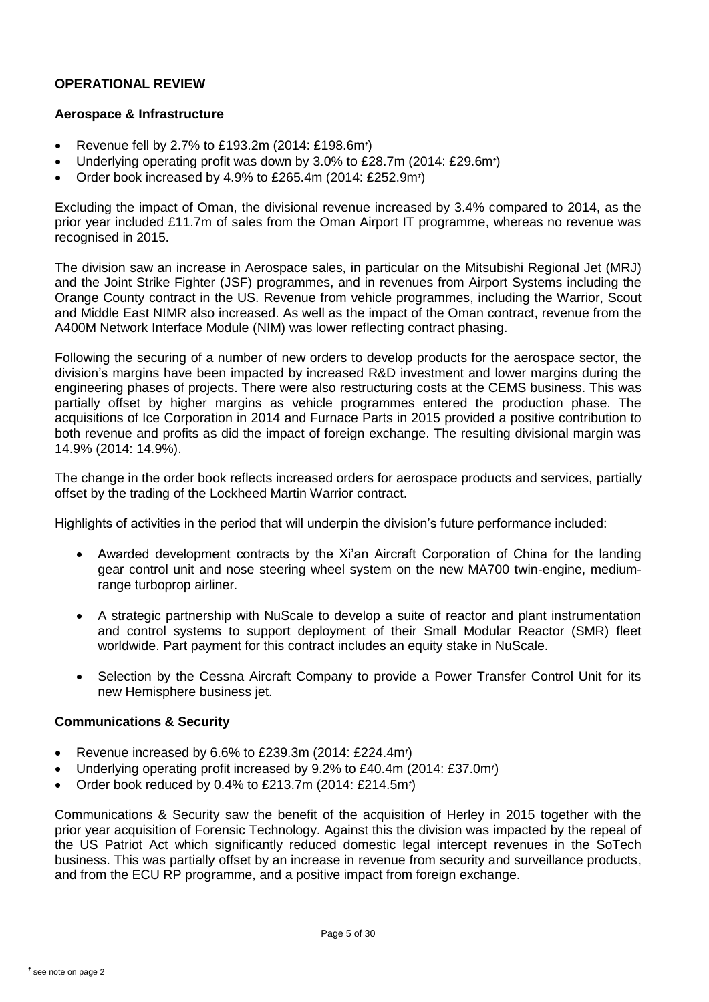# **OPERATIONAL REVIEW**

# **Aerospace & Infrastructure**

- Revenue fell by 2.7% to £193.2m (2014: £198.6m*†* )
- Underlying operating profit was down by 3.0% to £28.7m (2014: £29.6m*†* )
- Order book increased by 4.9% to £265.4m (2014: £252.9m*†* )

Excluding the impact of Oman, the divisional revenue increased by 3.4% compared to 2014, as the prior year included £11.7m of sales from the Oman Airport IT programme, whereas no revenue was recognised in 2015.

The division saw an increase in Aerospace sales, in particular on the Mitsubishi Regional Jet (MRJ) and the Joint Strike Fighter (JSF) programmes, and in revenues from Airport Systems including the Orange County contract in the US. Revenue from vehicle programmes, including the Warrior, Scout and Middle East NIMR also increased. As well as the impact of the Oman contract, revenue from the A400M Network Interface Module (NIM) was lower reflecting contract phasing.

Following the securing of a number of new orders to develop products for the aerospace sector, the division's margins have been impacted by increased R&D investment and lower margins during the engineering phases of projects. There were also restructuring costs at the CEMS business. This was partially offset by higher margins as vehicle programmes entered the production phase. The acquisitions of Ice Corporation in 2014 and Furnace Parts in 2015 provided a positive contribution to both revenue and profits as did the impact of foreign exchange. The resulting divisional margin was 14.9% (2014: 14.9%).

The change in the order book reflects increased orders for aerospace products and services, partially offset by the trading of the Lockheed Martin Warrior contract.

Highlights of activities in the period that will underpin the division's future performance included:

- Awarded development contracts by the Xi'an Aircraft Corporation of China for the landing gear control unit and nose steering wheel system on the new MA700 twin-engine, mediumrange turboprop airliner.
- A strategic partnership with NuScale to develop a suite of reactor and plant instrumentation and control systems to support deployment of their Small Modular Reactor (SMR) fleet worldwide. Part payment for this contract includes an equity stake in NuScale.
- Selection by the Cessna Aircraft Company to provide a Power Transfer Control Unit for its new Hemisphere business jet.

# **Communications & Security**

- Revenue increased by 6.6% to £239.3m (2014: £224.4m*†* )
- Underlying operating profit increased by 9.2% to £40.4m (2014: £37.0m*†* )
- Order book reduced by 0.4% to £213.7m (2014: £214.5m*†* )

Communications & Security saw the benefit of the acquisition of Herley in 2015 together with the prior year acquisition of Forensic Technology. Against this the division was impacted by the repeal of the US Patriot Act which significantly reduced domestic legal intercept revenues in the SoTech business. This was partially offset by an increase in revenue from security and surveillance products, and from the ECU RP programme, and a positive impact from foreign exchange.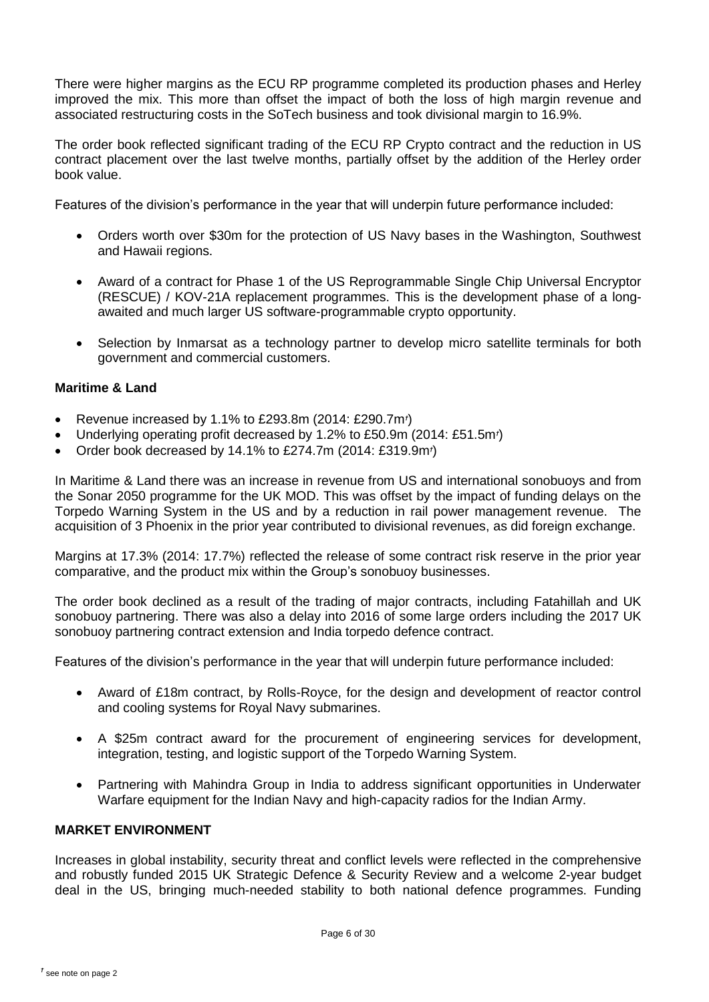There were higher margins as the ECU RP programme completed its production phases and Herley improved the mix. This more than offset the impact of both the loss of high margin revenue and associated restructuring costs in the SoTech business and took divisional margin to 16.9%.

The order book reflected significant trading of the ECU RP Crypto contract and the reduction in US contract placement over the last twelve months, partially offset by the addition of the Herley order book value.

Features of the division's performance in the year that will underpin future performance included:

- Orders worth over \$30m for the protection of US Navy bases in the Washington, Southwest and Hawaii regions.
- Award of a contract for Phase 1 of the US Reprogrammable Single Chip Universal Encryptor (RESCUE) / KOV-21A replacement programmes. This is the development phase of a longawaited and much larger US software-programmable crypto opportunity.
- Selection by Inmarsat as a technology partner to develop micro satellite terminals for both government and commercial customers.

# **Maritime & Land**

- Revenue increased by 1.1% to £293.8m (2014: £290.7m*†* )
- Underlying operating profit decreased by 1.2% to £50.9m (2014: £51.5m*†* )
- Order book decreased by 14.1% to £274.7m (2014: £319.9m*†* )

In Maritime & Land there was an increase in revenue from US and international sonobuoys and from the Sonar 2050 programme for the UK MOD. This was offset by the impact of funding delays on the Torpedo Warning System in the US and by a reduction in rail power management revenue. The acquisition of 3 Phoenix in the prior year contributed to divisional revenues, as did foreign exchange.

Margins at 17.3% (2014: 17.7%) reflected the release of some contract risk reserve in the prior year comparative, and the product mix within the Group's sonobuoy businesses.

The order book declined as a result of the trading of major contracts, including Fatahillah and UK sonobuoy partnering. There was also a delay into 2016 of some large orders including the 2017 UK sonobuoy partnering contract extension and India torpedo defence contract.

Features of the division's performance in the year that will underpin future performance included:

- Award of £18m contract, by Rolls-Royce, for the design and development of reactor control and cooling systems for Royal Navy submarines.
- A \$25m contract award for the procurement of engineering services for development, integration, testing, and logistic support of the Torpedo Warning System.
- Partnering with Mahindra Group in India to address significant opportunities in Underwater Warfare equipment for the Indian Navy and high-capacity radios for the Indian Army.

# **MARKET ENVIRONMENT**

Increases in global instability, security threat and conflict levels were reflected in the comprehensive and robustly funded 2015 UK Strategic Defence & Security Review and a welcome 2-year budget deal in the US, bringing much-needed stability to both national defence programmes. Funding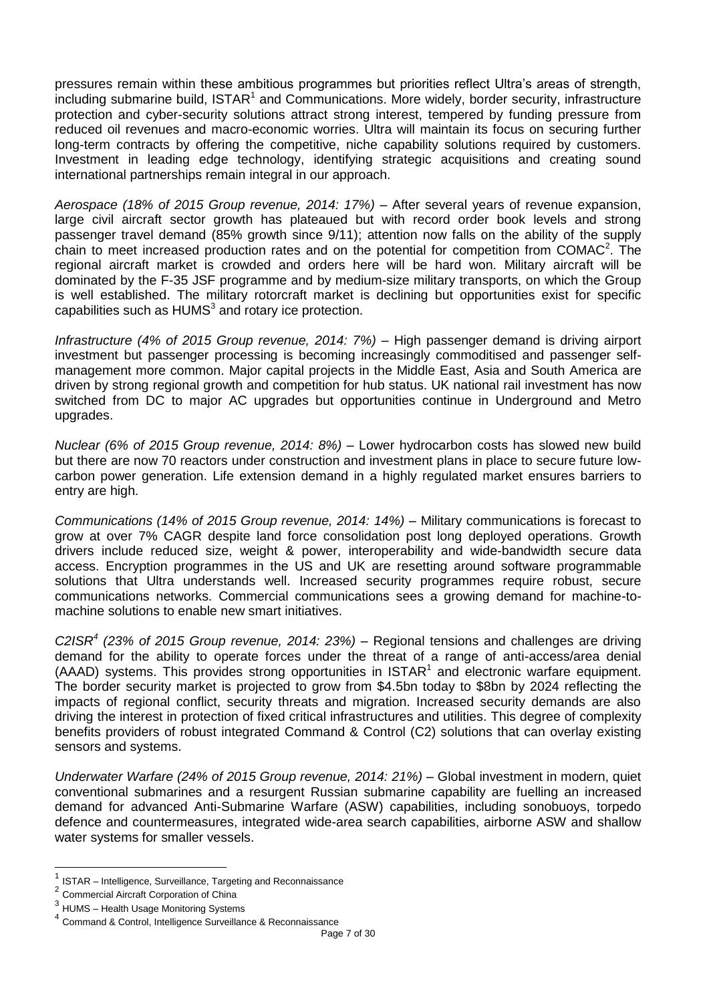pressures remain within these ambitious programmes but priorities reflect Ultra's areas of strength, including submarine build, ISTAR<sup>1</sup> and Communications. More widely, border security, infrastructure protection and cyber-security solutions attract strong interest, tempered by funding pressure from reduced oil revenues and macro-economic worries. Ultra will maintain its focus on securing further long-term contracts by offering the competitive, niche capability solutions required by customers. Investment in leading edge technology, identifying strategic acquisitions and creating sound international partnerships remain integral in our approach.

*Aerospace (18% of 2015 Group revenue, 2014: 17%) –* After several years of revenue expansion, large civil aircraft sector growth has plateaued but with record order book levels and strong passenger travel demand (85% growth since 9/11); attention now falls on the ability of the supply chain to meet increased production rates and on the potential for competition from COMAC<sup>2</sup>. The regional aircraft market is crowded and orders here will be hard won. Military aircraft will be dominated by the F-35 JSF programme and by medium-size military transports, on which the Group is well established. The military rotorcraft market is declining but opportunities exist for specific capabilities such as  $HUMS<sup>3</sup>$  and rotary ice protection.

*Infrastructure (4% of 2015 Group revenue, 2014: 7%) –* High passenger demand is driving airport investment but passenger processing is becoming increasingly commoditised and passenger selfmanagement more common. Major capital projects in the Middle East, Asia and South America are driven by strong regional growth and competition for hub status. UK national rail investment has now switched from DC to major AC upgrades but opportunities continue in Underground and Metro upgrades.

*Nuclear (6% of 2015 Group revenue, 2014: 8%) –* Lower hydrocarbon costs has slowed new build but there are now 70 reactors under construction and investment plans in place to secure future lowcarbon power generation. Life extension demand in a highly regulated market ensures barriers to entry are high.

*Communications (14% of 2015 Group revenue, 2014: 14%) –* Military communications is forecast to grow at over 7% CAGR despite land force consolidation post long deployed operations. Growth drivers include reduced size, weight & power, interoperability and wide-bandwidth secure data access. Encryption programmes in the US and UK are resetting around software programmable solutions that Ultra understands well. Increased security programmes require robust, secure communications networks. Commercial communications sees a growing demand for machine-tomachine solutions to enable new smart initiatives.

*C2ISR<sup>4</sup> (23% of 2015 Group revenue, 2014: 23%) –* Regional tensions and challenges are driving demand for the ability to operate forces under the threat of a range of anti-access/area denial  $(AAAD)$  systems. This provides strong opportunities in  $ISTAR<sup>1</sup>$  and electronic warfare equipment. The border security market is projected to grow from \$4.5bn today to \$8bn by 2024 reflecting the impacts of regional conflict, security threats and migration. Increased security demands are also driving the interest in protection of fixed critical infrastructures and utilities. This degree of complexity benefits providers of robust integrated Command & Control (C2) solutions that can overlay existing sensors and systems.

*Underwater Warfare (24% of 2015 Group revenue, 2014: 21%) –* Global investment in modern, quiet conventional submarines and a resurgent Russian submarine capability are fuelling an increased demand for advanced Anti-Submarine Warfare (ASW) capabilities, including sonobuoys, torpedo defence and countermeasures, integrated wide-area search capabilities, airborne ASW and shallow water systems for smaller vessels.

 $\overline{a}$ 

<sup>1</sup> ISTAR – Intelligence, Surveillance, Targeting and Reconnaissance

<sup>2</sup> Commercial Aircraft Corporation of China

<sup>&</sup>lt;sup>3</sup> HUMS – Health Usage Monitoring Systems

<sup>4</sup> Command & Control, Intelligence Surveillance & Reconnaissance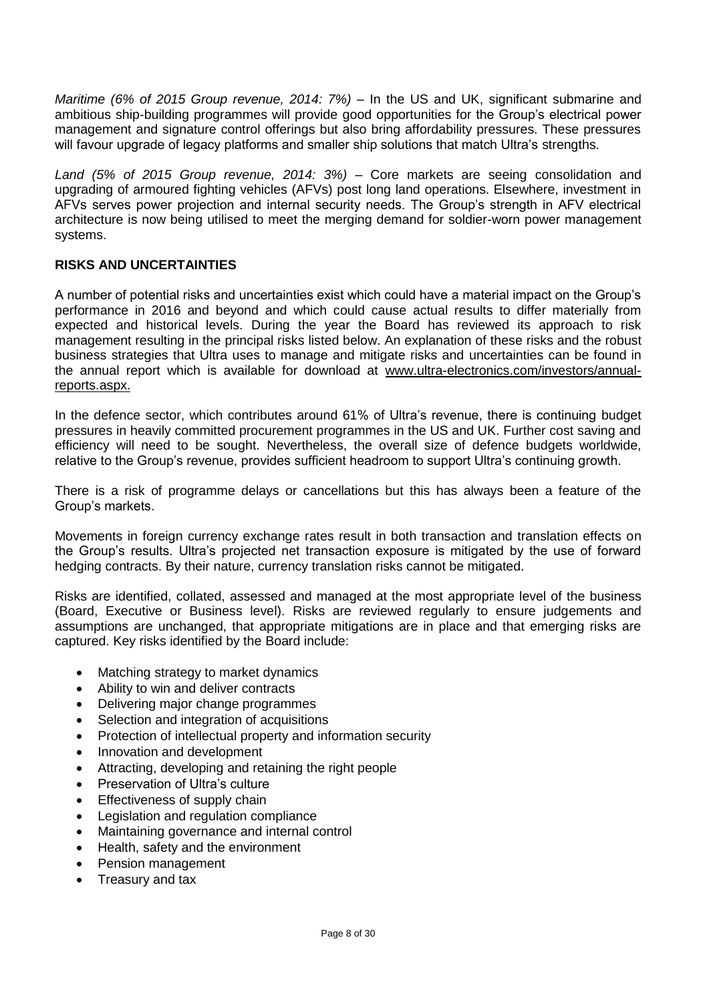*Maritime (6% of 2015 Group revenue, 2014: 7%) –* In the US and UK, significant submarine and ambitious ship-building programmes will provide good opportunities for the Group's electrical power management and signature control offerings but also bring affordability pressures. These pressures will favour upgrade of legacy platforms and smaller ship solutions that match Ultra's strengths.

*Land (5% of 2015 Group revenue, 2014: 3%)* – Core markets are seeing consolidation and upgrading of armoured fighting vehicles (AFVs) post long land operations. Elsewhere, investment in AFVs serves power projection and internal security needs. The Group's strength in AFV electrical architecture is now being utilised to meet the merging demand for soldier-worn power management systems.

# **RISKS AND UNCERTAINTIES**

A number of potential risks and uncertainties exist which could have a material impact on the Group's performance in 2016 and beyond and which could cause actual results to differ materially from expected and historical levels. During the year the Board has reviewed its approach to risk management resulting in the principal risks listed below. An explanation of these risks and the robust business strategies that Ultra uses to manage and mitigate risks and uncertainties can be found in the annual report which is available for download at [www.ultra-electronics.com/investors/annual](http://www.ultra-electronics.com/investors/annual-reports.aspx)[reports.aspx.](http://www.ultra-electronics.com/investors/annual-reports.aspx)

In the defence sector, which contributes around 61% of Ultra's revenue, there is continuing budget pressures in heavily committed procurement programmes in the US and UK. Further cost saving and efficiency will need to be sought. Nevertheless, the overall size of defence budgets worldwide, relative to the Group's revenue, provides sufficient headroom to support Ultra's continuing growth.

There is a risk of programme delays or cancellations but this has always been a feature of the Group's markets.

Movements in foreign currency exchange rates result in both transaction and translation effects on the Group's results. Ultra's projected net transaction exposure is mitigated by the use of forward hedging contracts. By their nature, currency translation risks cannot be mitigated.

Risks are identified, collated, assessed and managed at the most appropriate level of the business (Board, Executive or Business level). Risks are reviewed regularly to ensure judgements and assumptions are unchanged, that appropriate mitigations are in place and that emerging risks are captured. Key risks identified by the Board include:

- Matching strategy to market dynamics
- Ability to win and deliver contracts
- Delivering major change programmes
- Selection and integration of acquisitions
- Protection of intellectual property and information security
- Innovation and development
- Attracting, developing and retaining the right people
- Preservation of Ultra's culture
- Effectiveness of supply chain
- Legislation and regulation compliance
- Maintaining governance and internal control
- Health, safety and the environment
- Pension management
- Treasury and tax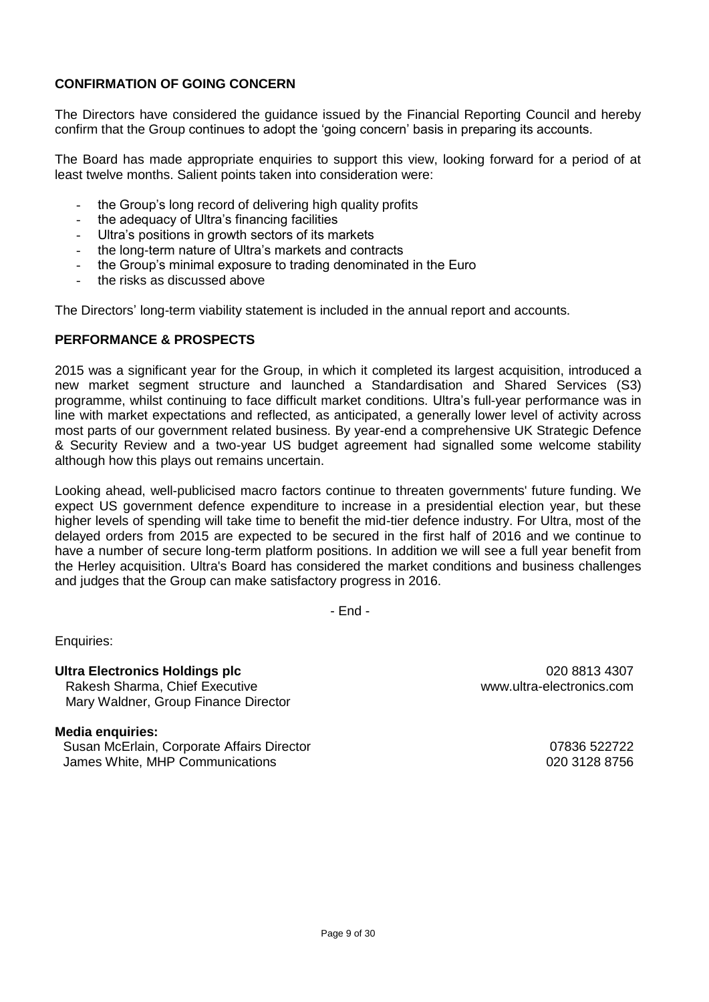# **CONFIRMATION OF GOING CONCERN**

The Directors have considered the guidance issued by the Financial Reporting Council and hereby confirm that the Group continues to adopt the 'going concern' basis in preparing its accounts.

The Board has made appropriate enquiries to support this view, looking forward for a period of at least twelve months. Salient points taken into consideration were:

- the Group's long record of delivering high quality profits
- the adequacy of Ultra's financing facilities
- Ultra's positions in growth sectors of its markets
- the long-term nature of Ultra's markets and contracts
- the Group's minimal exposure to trading denominated in the Euro
- the risks as discussed above

The Directors' long-term viability statement is included in the annual report and accounts.

# **PERFORMANCE & PROSPECTS**

2015 was a significant year for the Group, in which it completed its largest acquisition, introduced a new market segment structure and launched a Standardisation and Shared Services (S3) programme, whilst continuing to face difficult market conditions. Ultra's full-year performance was in line with market expectations and reflected, as anticipated, a generally lower level of activity across most parts of our government related business. By year-end a comprehensive UK Strategic Defence & Security Review and a two-year US budget agreement had signalled some welcome stability although how this plays out remains uncertain.

Looking ahead, well-publicised macro factors continue to threaten governments' future funding. We expect US government defence expenditure to increase in a presidential election year, but these higher levels of spending will take time to benefit the mid-tier defence industry. For Ultra, most of the delayed orders from 2015 are expected to be secured in the first half of 2016 and we continue to have a number of secure long-term platform positions. In addition we will see a full year benefit from the Herley acquisition. Ultra's Board has considered the market conditions and business challenges and judges that the Group can make satisfactory progress in 2016.

- End -

Enquiries:

**Ultra Electronics Holdings plc** 020 8813 4307 Rakesh Sharma, Chief Executive www.ultra-electronics.com Mary Waldner, Group Finance Director

**Media enquiries:** Susan McErlain, Corporate Affairs Director 07836 522722 James White, MHP Communications 020 3128 8756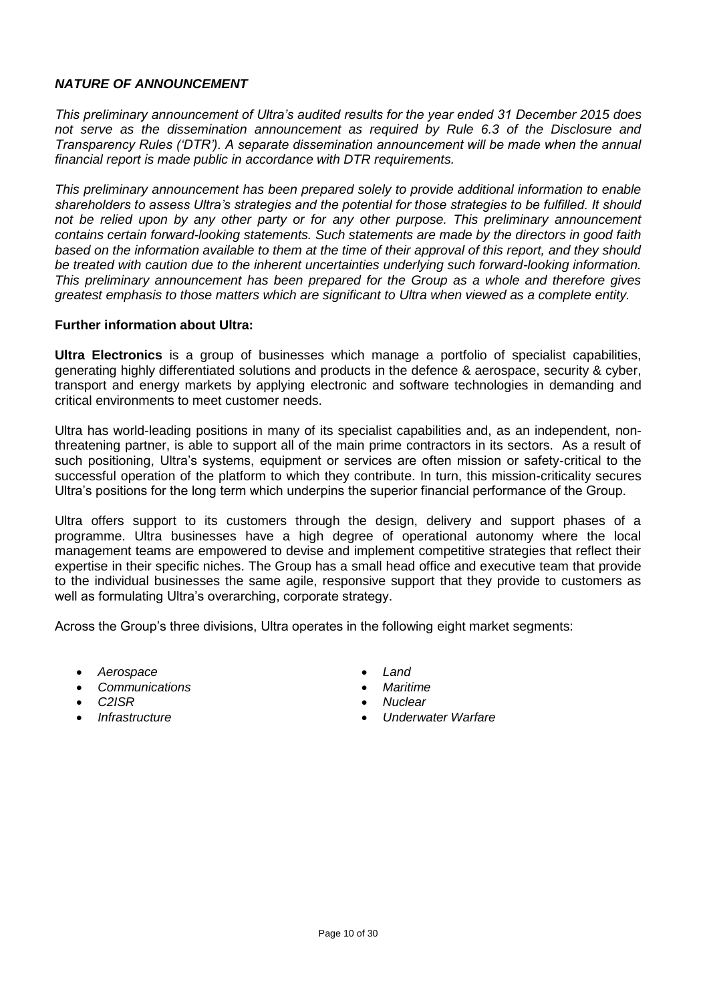# *NATURE OF ANNOUNCEMENT*

*This preliminary announcement of Ultra's audited results for the year ended 31 December 2015 does not serve as the dissemination announcement as required by Rule 6.3 of the Disclosure and Transparency Rules ('DTR'). A separate dissemination announcement will be made when the annual financial report is made public in accordance with DTR requirements.*

*This preliminary announcement has been prepared solely to provide additional information to enable shareholders to assess Ultra's strategies and the potential for those strategies to be fulfilled. It should not be relied upon by any other party or for any other purpose. This preliminary announcement contains certain forward-looking statements. Such statements are made by the directors in good faith based on the information available to them at the time of their approval of this report, and they should be treated with caution due to the inherent uncertainties underlying such forward-looking information. This preliminary announcement has been prepared for the Group as a whole and therefore gives greatest emphasis to those matters which are significant to Ultra when viewed as a complete entity.*

# **Further information about Ultra:**

**Ultra Electronics** is a group of businesses which manage a portfolio of specialist capabilities, generating highly differentiated solutions and products in the defence & aerospace, security & cyber, transport and energy markets by applying electronic and software technologies in demanding and critical environments to meet customer needs.

Ultra has world-leading positions in many of its specialist capabilities and, as an independent, nonthreatening partner, is able to support all of the main prime contractors in its sectors. As a result of such positioning, Ultra's systems, equipment or services are often mission or safety-critical to the successful operation of the platform to which they contribute. In turn, this mission-criticality secures Ultra's positions for the long term which underpins the superior financial performance of the Group.

Ultra offers support to its customers through the design, delivery and support phases of a programme. Ultra businesses have a high degree of operational autonomy where the local management teams are empowered to devise and implement competitive strategies that reflect their expertise in their specific niches. The Group has a small head office and executive team that provide to the individual businesses the same agile, responsive support that they provide to customers as well as formulating Ultra's overarching, corporate strategy.

Across the Group's three divisions, Ultra operates in the following eight market segments:

- *Aerospace Land*
- *Communications Maritime*
- 
- 
- 
- 
- *C2ISR Nuclear*
	- *Infrastructure Underwater Warfare*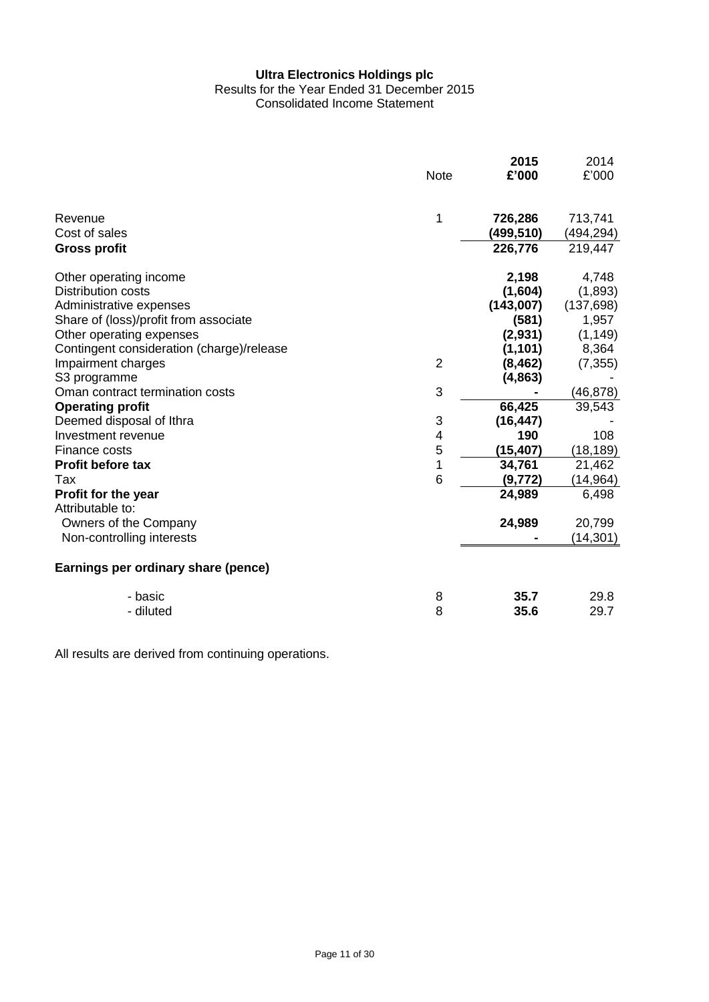#### **Ultra Electronics Holdings plc** Results for the Year Ended 31 December 2015 Consolidated Income Statement

|                                                |                | 2015      | 2014       |
|------------------------------------------------|----------------|-----------|------------|
|                                                | <b>Note</b>    | £'000     | £'000      |
| Revenue                                        | 1              | 726,286   | 713,741    |
| Cost of sales                                  |                | (499,510) | (494,294)  |
| <b>Gross profit</b>                            |                | 226,776   | 219,447    |
| Other operating income                         |                | 2,198     | 4,748      |
| Distribution costs                             |                | (1,604)   | (1,893)    |
| Administrative expenses                        |                | (143,007) | (137, 698) |
| Share of (loss)/profit from associate          |                | (581)     | 1,957      |
| Other operating expenses                       |                | (2,931)   | (1, 149)   |
| Contingent consideration (charge)/release      |                | (1, 101)  | 8,364      |
| Impairment charges                             | $\overline{2}$ | (8, 462)  | (7, 355)   |
| S3 programme                                   |                | (4,863)   |            |
| Oman contract termination costs                | 3              |           | (46, 878)  |
| <b>Operating profit</b>                        |                | 66,425    | 39,543     |
| Deemed disposal of Ithra                       | 3              | (16, 447) |            |
| Investment revenue                             | 4              | 190       | 108        |
| Finance costs                                  | 5              | (15, 407) | (18, 189)  |
| Profit before tax                              | $\mathbf 1$    | 34,761    | 21,462     |
| Tax                                            | 6              | (9, 772)  | (14, 964)  |
| <b>Profit for the year</b><br>Attributable to: |                | 24,989    | 6,498      |
| Owners of the Company                          |                | 24,989    | 20,799     |
| Non-controlling interests                      |                |           | (14, 301)  |
| Earnings per ordinary share (pence)            |                |           |            |
| - basic                                        | 8              | 35.7      | 29.8       |
| - diluted                                      | 8              | 35.6      | 29.7       |

All results are derived from continuing operations.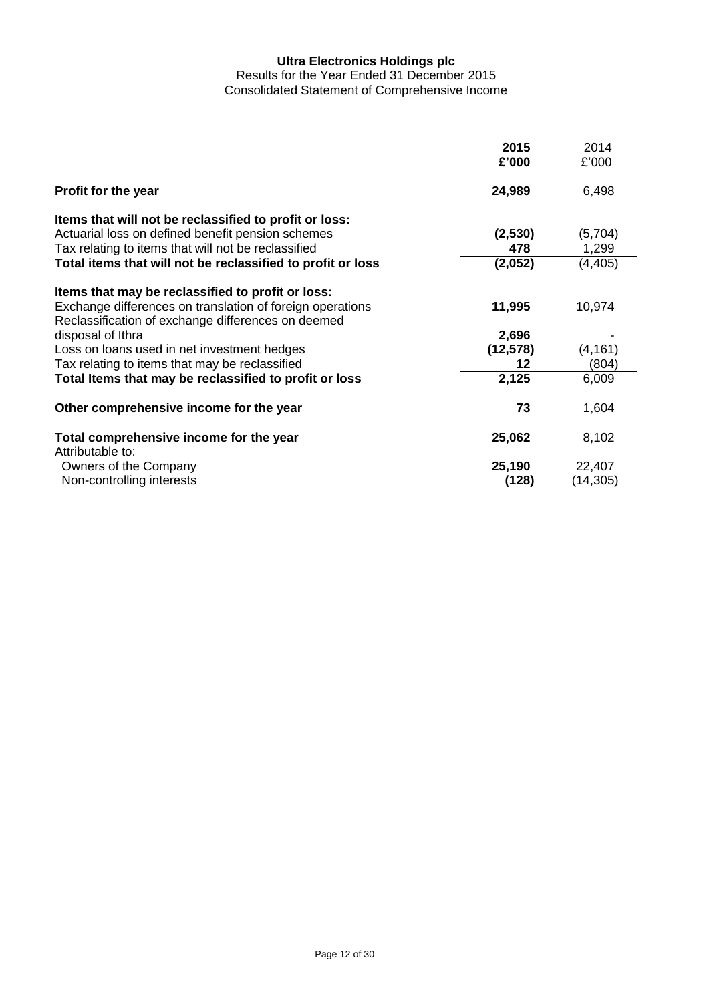Results for the Year Ended 31 December 2015 Consolidated Statement of Comprehensive Income

|                                                                                                                 | 2015<br>£'000 | 2014<br>£'000 |
|-----------------------------------------------------------------------------------------------------------------|---------------|---------------|
| Profit for the year                                                                                             | 24,989        | 6,498         |
| Items that will not be reclassified to profit or loss:                                                          |               |               |
| Actuarial loss on defined benefit pension schemes                                                               | (2,530)       | (5,704)       |
| Tax relating to items that will not be reclassified                                                             | 478           | 1,299         |
| Total items that will not be reclassified to profit or loss                                                     | (2,052)       | (4, 405)      |
| Items that may be reclassified to profit or loss:                                                               |               |               |
| Exchange differences on translation of foreign operations<br>Reclassification of exchange differences on deemed | 11,995        | 10,974        |
| disposal of Ithra                                                                                               | 2,696         |               |
| Loss on loans used in net investment hedges                                                                     | (12, 578)     | (4, 161)      |
| Tax relating to items that may be reclassified                                                                  | 12            | (804)         |
| Total Items that may be reclassified to profit or loss                                                          | 2,125         | 6,009         |
| Other comprehensive income for the year                                                                         | 73            | 1,604         |
| Total comprehensive income for the year<br>Attributable to:                                                     | 25,062        | 8,102         |
| Owners of the Company                                                                                           | 25,190        | 22,407        |
| Non-controlling interests                                                                                       | (128)         | (14, 305)     |
|                                                                                                                 |               |               |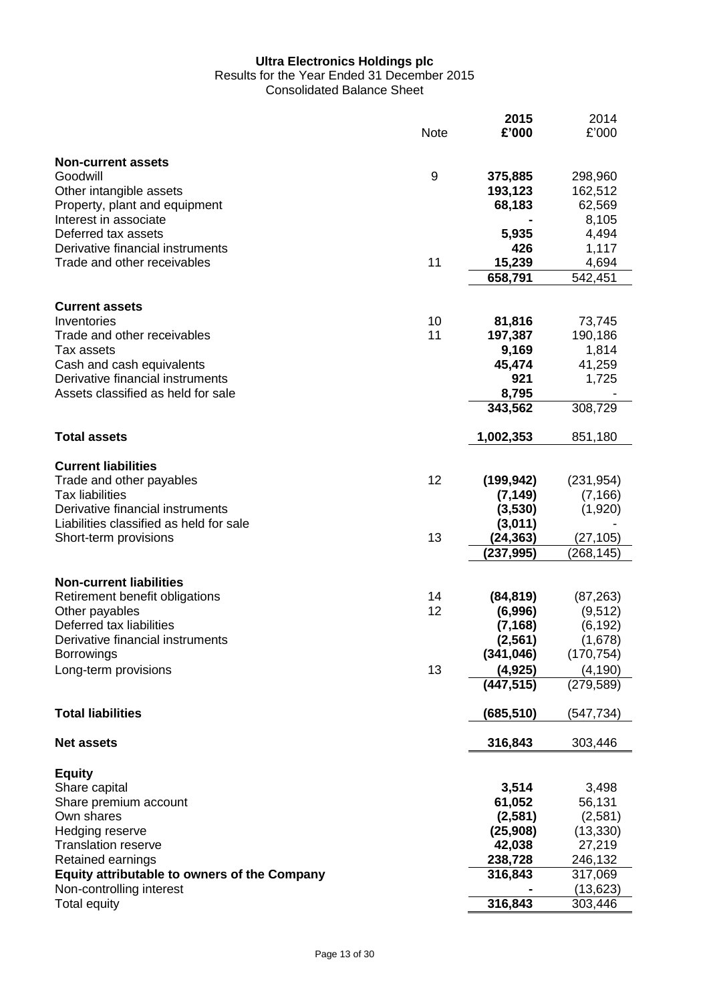# Results for the Year Ended 31 December 2015

Consolidated Balance Sheet

|                                                     | <b>Note</b> | 2015<br>£'000 | 2014<br>£'000 |
|-----------------------------------------------------|-------------|---------------|---------------|
| <b>Non-current assets</b>                           |             |               |               |
| Goodwill                                            | 9           | 375,885       | 298,960       |
| Other intangible assets                             |             | 193,123       | 162,512       |
| Property, plant and equipment                       |             | 68,183        | 62,569        |
| Interest in associate                               |             |               | 8,105         |
| Deferred tax assets                                 |             | 5,935         | 4,494         |
| Derivative financial instruments                    |             | 426           | 1,117         |
| Trade and other receivables                         | 11          | 15,239        | 4,694         |
|                                                     |             | 658,791       | 542,451       |
| <b>Current assets</b>                               |             |               |               |
| Inventories                                         | 10          | 81,816        | 73,745        |
| Trade and other receivables                         | 11          | 197,387       | 190,186       |
| Tax assets                                          |             | 9,169         | 1,814         |
| Cash and cash equivalents                           |             | 45,474        | 41,259        |
| Derivative financial instruments                    |             | 921           | 1,725         |
| Assets classified as held for sale                  |             | 8,795         |               |
|                                                     |             | 343,562       | 308,729       |
| <b>Total assets</b>                                 |             | 1,002,353     | 851,180       |
|                                                     |             |               |               |
| <b>Current liabilities</b>                          |             |               |               |
| Trade and other payables                            | 12          | (199, 942)    | (231, 954)    |
| <b>Tax liabilities</b>                              |             | (7, 149)      | (7, 166)      |
| Derivative financial instruments                    |             | (3,530)       | (1,920)       |
| Liabilities classified as held for sale             |             | (3,011)       |               |
| Short-term provisions                               | 13          | (24,363)      | (27, 105)     |
|                                                     |             | (237, 995)    | (268, 145)    |
| <b>Non-current liabilities</b>                      |             |               |               |
| Retirement benefit obligations                      | 14          | (84, 819)     | (87, 263)     |
| Other payables                                      | 12          | (6,996)       | (9,512)       |
| Deferred tax liabilities                            |             | (7, 168)      | (6, 192)      |
| Derivative financial instruments                    |             | (2, 561)      | (1,678)       |
| <b>Borrowings</b>                                   |             | (341, 046)    | (170, 754)    |
| Long-term provisions                                | 13          | (4, 925)      | (4, 190)      |
|                                                     |             | (447, 515)    | (279, 589)    |
|                                                     |             |               |               |
| <b>Total liabilities</b>                            |             | (685,510)     | (547, 734)    |
| <b>Net assets</b>                                   |             | 316,843       | 303,446       |
| <b>Equity</b>                                       |             |               |               |
| Share capital                                       |             | 3,514         | 3,498         |
| Share premium account                               |             | 61,052        | 56,131        |
| Own shares                                          |             | (2,581)       | (2,581)       |
| Hedging reserve                                     |             | (25,908)      | (13, 330)     |
| <b>Translation reserve</b>                          |             | 42,038        | 27,219        |
| Retained earnings                                   |             | 238,728       | 246,132       |
| <b>Equity attributable to owners of the Company</b> |             | 316,843       | 317,069       |
| Non-controlling interest                            |             |               | (13, 623)     |
| <b>Total equity</b>                                 |             | 316,843       | 303,446       |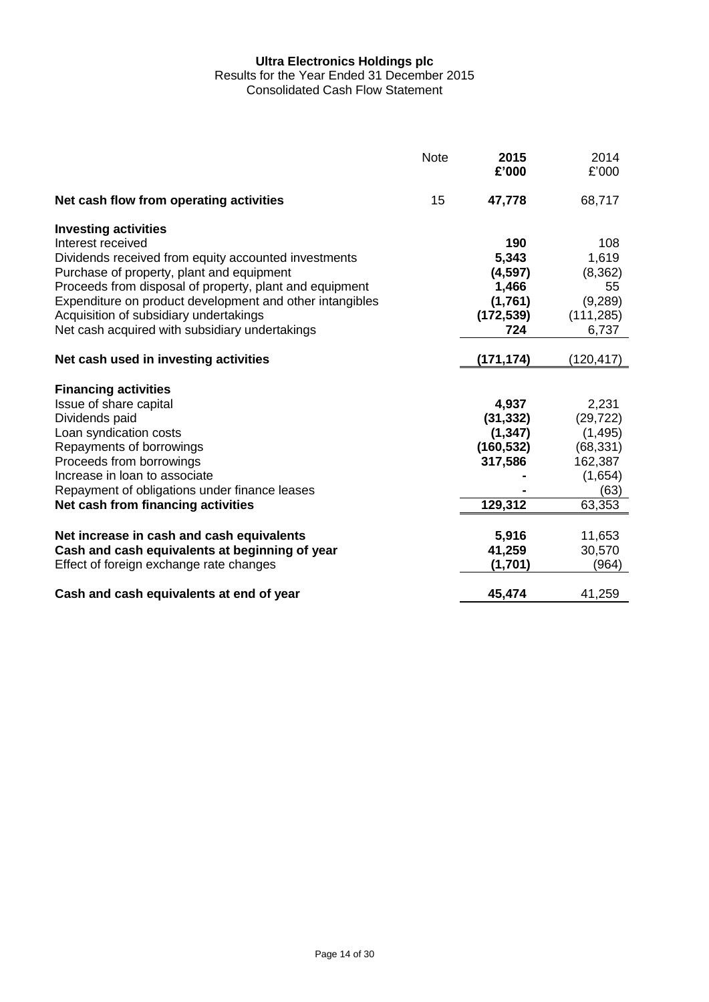Results for the Year Ended 31 December 2015

Consolidated Cash Flow Statement

|                                                          | <b>Note</b> | 2015<br>£'000 | 2014<br>£'000 |
|----------------------------------------------------------|-------------|---------------|---------------|
| Net cash flow from operating activities                  | 15          | 47,778        | 68,717        |
| <b>Investing activities</b>                              |             |               |               |
| Interest received                                        |             | 190           | 108           |
| Dividends received from equity accounted investments     |             | 5,343         | 1,619         |
| Purchase of property, plant and equipment                |             | (4, 597)      | (8, 362)      |
| Proceeds from disposal of property, plant and equipment  |             | 1,466         | 55            |
| Expenditure on product development and other intangibles |             | (1,761)       | (9,289)       |
| Acquisition of subsidiary undertakings                   |             | (172, 539)    | (111, 285)    |
| Net cash acquired with subsidiary undertakings           |             | 724           | 6,737         |
| Net cash used in investing activities                    |             | (171, 174)    | (120, 417)    |
|                                                          |             |               |               |
| <b>Financing activities</b>                              |             |               |               |
| Issue of share capital                                   |             | 4,937         | 2,231         |
| Dividends paid                                           |             | (31, 332)     | (29, 722)     |
| Loan syndication costs                                   |             | (1, 347)      | (1, 495)      |
| Repayments of borrowings                                 |             | (160, 532)    | (68, 331)     |
| Proceeds from borrowings                                 |             | 317,586       | 162,387       |
| Increase in loan to associate                            |             |               | (1,654)       |
| Repayment of obligations under finance leases            |             |               | (63)          |
| Net cash from financing activities                       |             | 129,312       | 63,353        |
|                                                          |             |               |               |
| Net increase in cash and cash equivalents                |             | 5,916         | 11,653        |
| Cash and cash equivalents at beginning of year           |             | 41,259        | 30,570        |
| Effect of foreign exchange rate changes                  |             | (1,701)       | (964)         |
| Cash and cash equivalents at end of year                 |             | 45,474        | 41,259        |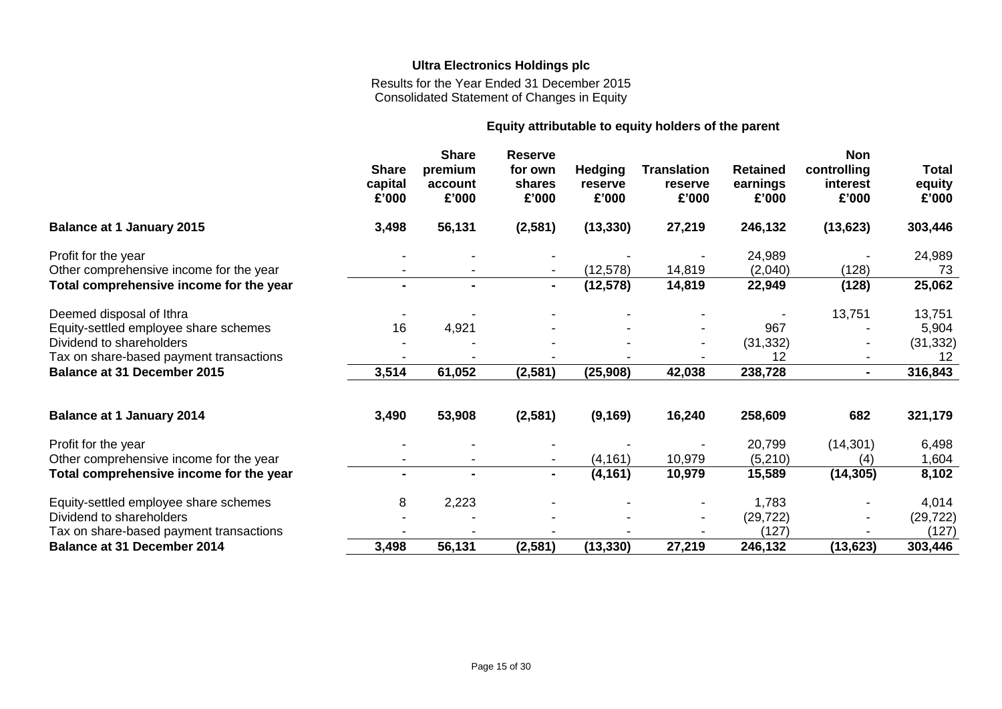Results for the Year Ended 31 December 2015 Consolidated Statement of Changes in Equity

# **Equity attributable to equity holders of the parent**

|                                         | <b>Share</b><br>capital<br>£'000 | <b>Share</b><br>premium<br>account<br>£'000 | <b>Reserve</b><br>for own<br>shares<br>£'000 | <b>Hedging</b><br>reserve<br>£'000 | <b>Translation</b><br>reserve<br>£'000 | <b>Retained</b><br>earnings<br>£'000 | <b>Non</b><br>controlling<br>interest<br>£'000 | <b>Total</b><br>equity<br>£'000 |
|-----------------------------------------|----------------------------------|---------------------------------------------|----------------------------------------------|------------------------------------|----------------------------------------|--------------------------------------|------------------------------------------------|---------------------------------|
| <b>Balance at 1 January 2015</b>        | 3,498                            | 56,131                                      | (2, 581)                                     | (13, 330)                          | 27,219                                 | 246,132                              | (13, 623)                                      | 303,446                         |
| Profit for the year                     |                                  |                                             |                                              |                                    |                                        | 24,989                               |                                                | 24,989                          |
| Other comprehensive income for the year |                                  |                                             |                                              | (12, 578)                          | 14,819                                 | (2,040)                              | (128)                                          | 73                              |
| Total comprehensive income for the year | ۰.                               | $\blacksquare$                              | $\sim$                                       | (12, 578)                          | 14,819                                 | 22,949                               | (128)                                          | 25,062                          |
| Deemed disposal of Ithra                |                                  |                                             |                                              |                                    |                                        |                                      | 13,751                                         | 13,751                          |
| Equity-settled employee share schemes   | 16                               | 4,921                                       |                                              |                                    |                                        | 967                                  |                                                | 5,904                           |
| Dividend to shareholders                |                                  |                                             |                                              |                                    |                                        | (31, 332)                            |                                                | (31, 332)                       |
| Tax on share-based payment transactions |                                  |                                             |                                              |                                    |                                        | 12                                   |                                                | 12                              |
| <b>Balance at 31 December 2015</b>      | 3,514                            | 61,052                                      | (2, 581)                                     | (25, 908)                          | 42,038                                 | 238,728                              | $\blacksquare$                                 | 316,843                         |
| <b>Balance at 1 January 2014</b>        | 3,490                            | 53,908                                      | (2,581)                                      | (9, 169)                           | 16,240                                 | 258,609                              | 682                                            | 321,179                         |
| Profit for the year                     |                                  |                                             |                                              |                                    |                                        | 20,799                               | (14, 301)                                      | 6,498                           |
| Other comprehensive income for the year |                                  |                                             |                                              | (4, 161)                           | 10,979                                 | (5,210)                              | (4)                                            | 1,604                           |
| Total comprehensive income for the year | $\blacksquare$                   |                                             | $\blacksquare$                               | (4, 161)                           | 10,979                                 | 15,589                               | (14, 305)                                      | 8,102                           |
| Equity-settled employee share schemes   | 8                                | 2,223                                       |                                              |                                    |                                        | 1,783                                |                                                | 4,014                           |
| Dividend to shareholders                |                                  |                                             |                                              |                                    |                                        | (29, 722)                            |                                                | (29, 722)                       |
| Tax on share-based payment transactions |                                  |                                             |                                              |                                    |                                        | (127)                                |                                                | (127)                           |
| <b>Balance at 31 December 2014</b>      | 3,498                            | 56,131                                      | (2, 581)                                     | (13, 330)                          | 27,219                                 | 246,132                              | (13, 623)                                      | 303,446                         |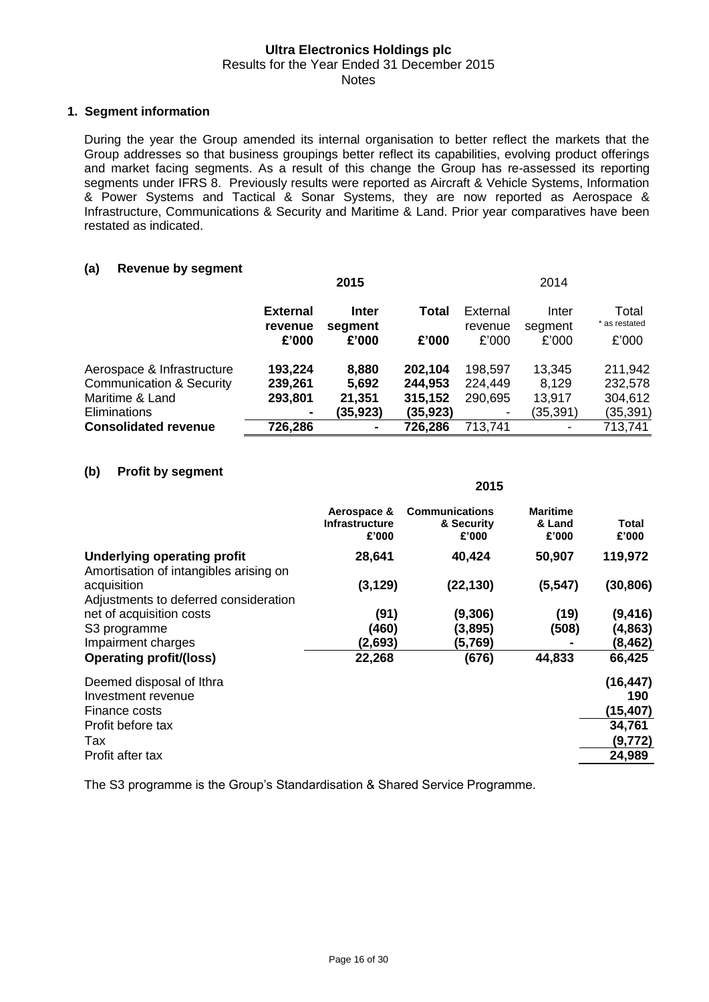#### **Ultra Electronics Holdings plc** Results for the Year Ended 31 December 2015

#### Notes

### **1. Segment information**

During the year the Group amended its internal organisation to better reflect the markets that the Group addresses so that business groupings better reflect its capabilities, evolving product offerings and market facing segments. As a result of this change the Group has re-assessed its reporting segments under IFRS 8. Previously results were reported as Aircraft & Vehicle Systems, Information & Power Systems and Tactical & Sonar Systems, they are now reported as Aerospace & Infrastructure, Communications & Security and Maritime & Land. Prior year comparatives have been restated as indicated.

# **(a) Revenue by segment**

|                                     | 2015                       |                         |           |                     |                  |                        | 2014 |  |
|-------------------------------------|----------------------------|-------------------------|-----------|---------------------|------------------|------------------------|------|--|
|                                     | <b>External</b><br>revenue | <b>Inter</b><br>segment | Total     | External<br>revenue | Inter<br>segment | Total<br>* as restated |      |  |
|                                     | £'000                      | £'000                   | £'000     | £'000               | £'000            | £'000                  |      |  |
| Aerospace & Infrastructure          | 193,224                    | 8,880                   | 202,104   | 198,597             | 13,345           | 211,942                |      |  |
| <b>Communication &amp; Security</b> | 239,261                    | 5,692                   | 244,953   | 224,449             | 8,129            | 232,578                |      |  |
| Maritime & Land                     | 293,801                    | 21,351                  | 315,152   | 290,695             | 13,917           | 304,612                |      |  |
| Eliminations                        |                            | (35,923)                | (35, 923) |                     | (35,391)         | (35, 391)              |      |  |
| <b>Consolidated revenue</b>         | 726,286                    | $\blacksquare$          | 726,286   | 713,741             |                  | 713,741                |      |  |

#### **(b) Profit by segment**

|                                                                              | 2015                                          |                                              |                                    |                       |
|------------------------------------------------------------------------------|-----------------------------------------------|----------------------------------------------|------------------------------------|-----------------------|
|                                                                              | Aerospace &<br><b>Infrastructure</b><br>£'000 | <b>Communications</b><br>& Security<br>£'000 | <b>Maritime</b><br>& Land<br>£'000 | <b>Total</b><br>£'000 |
| <b>Underlying operating profit</b><br>Amortisation of intangibles arising on | 28,641                                        | 40,424                                       | 50,907                             | 119,972               |
| acquisition<br>Adjustments to deferred consideration                         | (3, 129)                                      | (22, 130)                                    | (5, 547)                           | (30, 806)             |
| net of acquisition costs                                                     | (91)                                          | (9,306)                                      | (19)                               | (9, 416)              |
| S <sub>3</sub> programme                                                     | (460)                                         | (3,895)                                      | (508)                              | (4, 863)              |
| Impairment charges                                                           | (2,693)                                       | (5,769)                                      |                                    | (8, 462)              |
| <b>Operating profit/(loss)</b>                                               | 22,268                                        | (676)                                        | 44,833                             | 66,425                |
| Deemed disposal of Ithra                                                     |                                               |                                              |                                    | (16, 447)             |
| Investment revenue                                                           |                                               |                                              |                                    | 190                   |
| Finance costs                                                                |                                               |                                              |                                    | (15, 407)             |
| Profit before tax                                                            |                                               |                                              |                                    | 34,761                |
| Tax                                                                          |                                               |                                              |                                    | (9,772)               |
| Profit after tax                                                             |                                               |                                              |                                    | 24,989                |

The S3 programme is the Group's Standardisation & Shared Service Programme.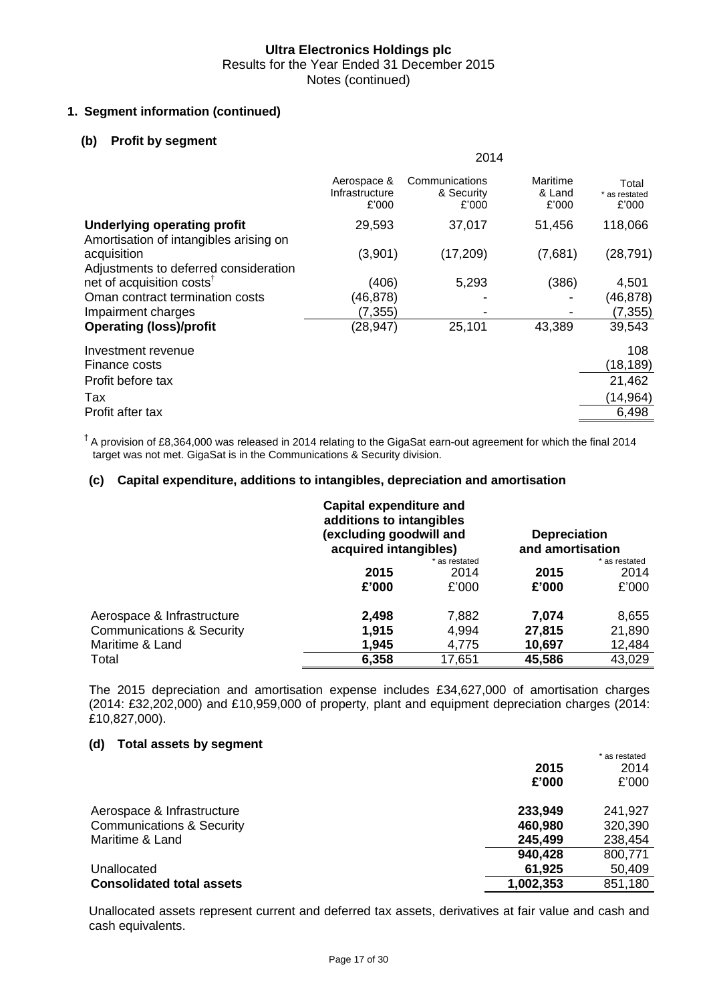$2014$ 

# **1. Segment information (continued)**

# **(b) Profit by segment**

|                                                                              |                                        | 20 I 4                                |                             |                                 |
|------------------------------------------------------------------------------|----------------------------------------|---------------------------------------|-----------------------------|---------------------------------|
|                                                                              | Aerospace &<br>Infrastructure<br>£'000 | Communications<br>& Security<br>£'000 | Maritime<br>& Land<br>£'000 | Total<br>* as restated<br>£'000 |
| <b>Underlying operating profit</b><br>Amortisation of intangibles arising on | 29,593                                 | 37,017                                | 51,456                      | 118,066                         |
| acquisition<br>Adjustments to deferred consideration                         | (3,901)                                | (17, 209)                             | (7,681)                     | (28, 791)                       |
| net of acquisition costs <sup>†</sup>                                        | (406)                                  | 5,293                                 | (386)                       | 4,501                           |
| Oman contract termination costs                                              | (46,878)                               |                                       |                             | (46,878)                        |
| Impairment charges                                                           | (7, 355)                               |                                       |                             | (7, 355)                        |
| <b>Operating (loss)/profit</b>                                               | (28, 947)                              | 25,101                                | 43,389                      | 39,543                          |
| Investment revenue                                                           |                                        |                                       |                             | 108                             |
| Finance costs                                                                |                                        |                                       |                             | (18, 189)                       |
| Profit before tax                                                            |                                        |                                       |                             | 21,462                          |
| Tax                                                                          |                                        |                                       |                             | (14,964)                        |
| Profit after tax                                                             |                                        |                                       |                             | 6,498                           |

 $<sup>†</sup>$  A provision of £8,364,000 was released in 2014 relating to the GigaSat earn-out agreement for which the final 2014</sup> target was not met. GigaSat is in the Communications & Security division.

#### **(c) Capital expenditure, additions to intangibles, depreciation and amortisation**

|                                      | <b>Capital expenditure and</b><br>additions to intangibles<br>(excluding goodwill and<br>acquired intangibles) |               | <b>Depreciation</b><br>and amortisation |               |
|--------------------------------------|----------------------------------------------------------------------------------------------------------------|---------------|-----------------------------------------|---------------|
|                                      |                                                                                                                | * as restated |                                         | * as restated |
|                                      | 2015                                                                                                           | 2014          | 2015                                    | 2014          |
|                                      | £'000                                                                                                          | £'000         | £'000                                   | £'000         |
| Aerospace & Infrastructure           | 2,498                                                                                                          | 7,882         | 7,074                                   | 8,655         |
| <b>Communications &amp; Security</b> | 1,915                                                                                                          | 4,994         | 27,815                                  | 21,890        |
| Maritime & Land                      | 1,945                                                                                                          | 4,775         | 10,697                                  | 12,484        |
| Total                                | 6,358                                                                                                          | 17,651        | 45,586                                  | 43,029        |

The 2015 depreciation and amortisation expense includes £34,627,000 of amortisation charges (2014: £32,202,000) and £10,959,000 of property, plant and equipment depreciation charges (2014: £10,827,000).

### **(d) Total assets by segment**

|                                      |           | * as restated |
|--------------------------------------|-----------|---------------|
|                                      | 2015      | 2014          |
|                                      | £'000     | £'000         |
| Aerospace & Infrastructure           | 233,949   | 241,927       |
| <b>Communications &amp; Security</b> | 460,980   | 320,390       |
| Maritime & Land                      | 245,499   | 238,454       |
|                                      | 940,428   | 800,771       |
| Unallocated                          | 61,925    | 50,409        |
| <b>Consolidated total assets</b>     | 1,002,353 | 851,180       |

Unallocated assets represent current and deferred tax assets, derivatives at fair value and cash and cash equivalents.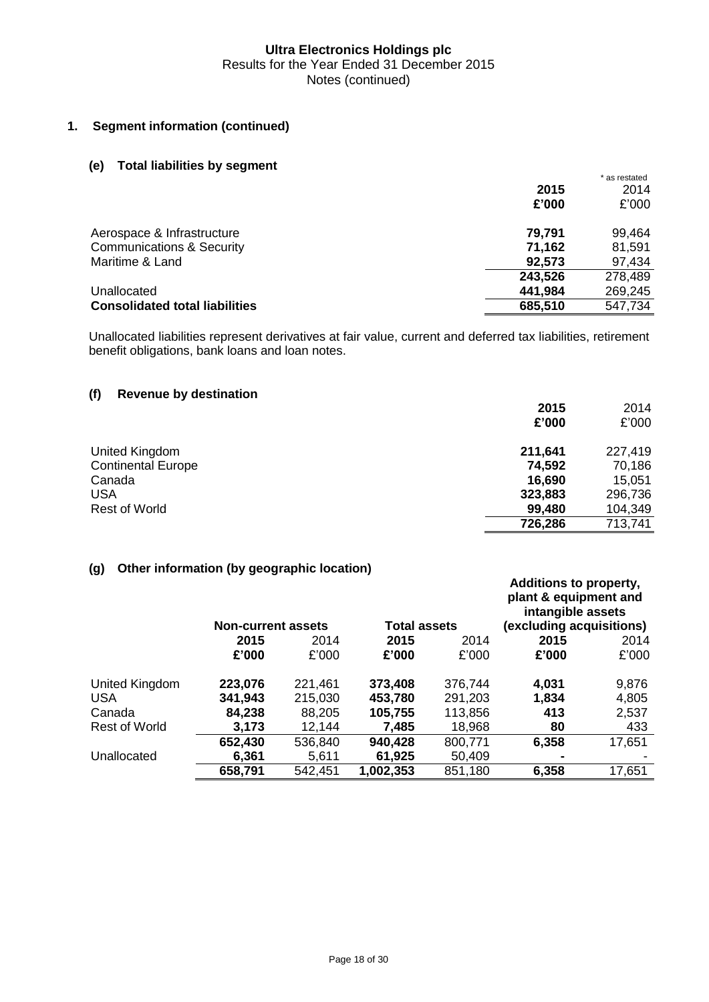# **1. Segment information (continued)**

# **(e) Total liabilities by segment**

|                                       |         | * as restated |
|---------------------------------------|---------|---------------|
|                                       | 2015    | 2014          |
|                                       | £'000   | £'000         |
| Aerospace & Infrastructure            | 79,791  | 99,464        |
| <b>Communications &amp; Security</b>  | 71,162  | 81,591        |
| Maritime & Land                       | 92,573  | 97,434        |
|                                       | 243,526 | 278,489       |
| Unallocated                           | 441,984 | 269,245       |
| <b>Consolidated total liabilities</b> | 685,510 | 547,734       |

Unallocated liabilities represent derivatives at fair value, current and deferred tax liabilities, retirement benefit obligations, bank loans and loan notes.

# **(f) Revenue by destination**

|                           | 2015    | 2014    |
|---------------------------|---------|---------|
|                           | £'000   | £'000   |
| United Kingdom            | 211,641 | 227,419 |
| <b>Continental Europe</b> | 74,592  | 70,186  |
| Canada                    | 16,690  | 15,051  |
| <b>USA</b>                | 323,883 | 296,736 |
| <b>Rest of World</b>      | 99,480  | 104,349 |
|                           | 726,286 | 713,741 |
|                           |         |         |

# **(g) Other information (by geographic location)**

|                | <b>Non-current assets</b> |         | <b>Total assets</b> |         | <b>Additions to property,</b><br>plant & equipment and<br>intangible assets<br>(excluding acquisitions) |        |
|----------------|---------------------------|---------|---------------------|---------|---------------------------------------------------------------------------------------------------------|--------|
|                | 2015                      | 2014    | 2015                | 2014    | 2015                                                                                                    | 2014   |
|                | £'000                     | £'000   | £'000               | £'000   | £'000                                                                                                   | £'000  |
| United Kingdom | 223,076                   | 221,461 | 373,408             | 376,744 | 4,031                                                                                                   | 9,876  |
| <b>USA</b>     | 341,943                   | 215,030 | 453,780             | 291,203 | 1,834                                                                                                   | 4,805  |
| Canada         | 84,238                    | 88,205  | 105,755             | 113,856 | 413                                                                                                     | 2,537  |
| Rest of World  | 3,173                     | 12,144  | 7,485               | 18,968  | 80                                                                                                      | 433    |
|                | 652,430                   | 536,840 | 940,428             | 800,771 | 6,358                                                                                                   | 17,651 |
| Unallocated    | 6,361                     | 5,611   | 61,925              | 50,409  | ۰                                                                                                       |        |
|                | 658,791                   | 542,451 | 1,002,353           | 851,180 | 6,358                                                                                                   | 17,651 |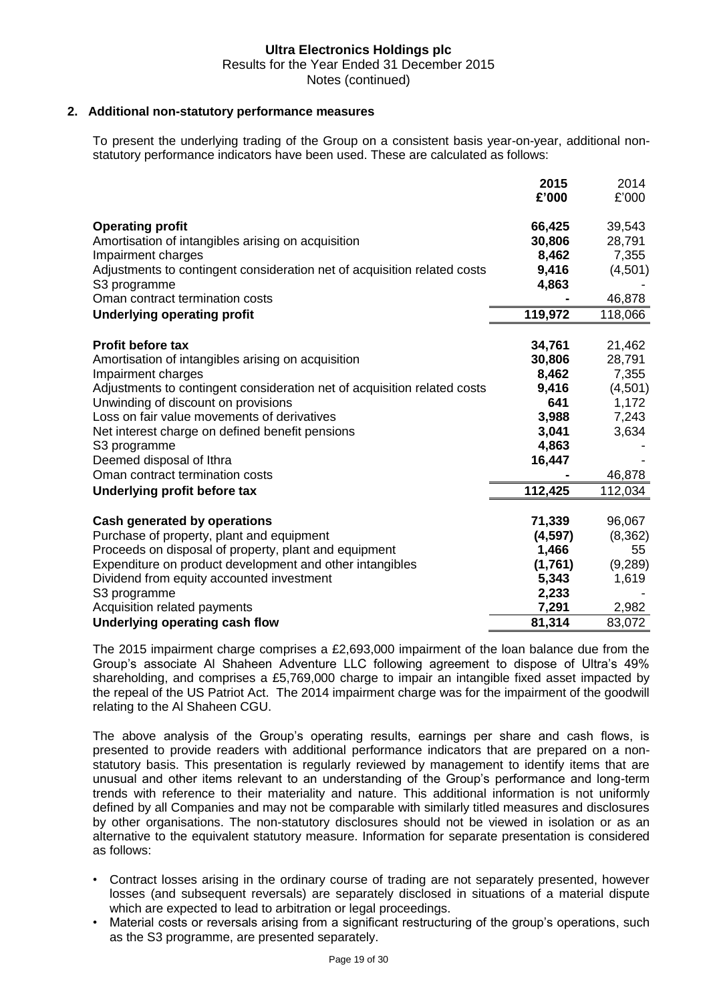# **2. Additional non-statutory performance measures**

To present the underlying trading of the Group on a consistent basis year-on-year, additional nonstatutory performance indicators have been used. These are calculated as follows:

|                                                                          | 2015     | 2014     |
|--------------------------------------------------------------------------|----------|----------|
|                                                                          | £'000    | £'000    |
| <b>Operating profit</b>                                                  | 66,425   | 39,543   |
| Amortisation of intangibles arising on acquisition                       | 30,806   | 28,791   |
| Impairment charges                                                       | 8,462    | 7,355    |
| Adjustments to contingent consideration net of acquisition related costs | 9,416    | (4,501)  |
| S3 programme                                                             | 4,863    |          |
| Oman contract termination costs                                          |          | 46,878   |
| <b>Underlying operating profit</b>                                       | 119,972  | 118,066  |
| <b>Profit before tax</b>                                                 | 34,761   | 21,462   |
| Amortisation of intangibles arising on acquisition                       | 30,806   | 28,791   |
| Impairment charges                                                       | 8,462    | 7,355    |
| Adjustments to contingent consideration net of acquisition related costs | 9,416    | (4,501)  |
| Unwinding of discount on provisions                                      | 641      | 1,172    |
| Loss on fair value movements of derivatives                              | 3,988    | 7,243    |
| Net interest charge on defined benefit pensions                          | 3,041    | 3,634    |
| S3 programme                                                             | 4,863    |          |
| Deemed disposal of Ithra                                                 | 16,447   |          |
| Oman contract termination costs                                          |          | 46,878   |
| Underlying profit before tax                                             | 112,425  | 112,034  |
| <b>Cash generated by operations</b>                                      | 71,339   | 96,067   |
| Purchase of property, plant and equipment                                | (4, 597) | (8, 362) |
| Proceeds on disposal of property, plant and equipment                    | 1,466    | 55       |
| Expenditure on product development and other intangibles                 | (1,761)  | (9, 289) |
| Dividend from equity accounted investment                                | 5,343    | 1,619    |
| S3 programme                                                             | 2,233    |          |
| Acquisition related payments                                             | 7,291    | 2,982    |
| Underlying operating cash flow                                           | 81,314   | 83,072   |

The 2015 impairment charge comprises a £2,693,000 impairment of the loan balance due from the Group's associate Al Shaheen Adventure LLC following agreement to dispose of Ultra's 49% shareholding, and comprises a £5,769,000 charge to impair an intangible fixed asset impacted by the repeal of the US Patriot Act. The 2014 impairment charge was for the impairment of the goodwill relating to the Al Shaheen CGU.

The above analysis of the Group's operating results, earnings per share and cash flows, is presented to provide readers with additional performance indicators that are prepared on a nonstatutory basis. This presentation is regularly reviewed by management to identify items that are unusual and other items relevant to an understanding of the Group's performance and long-term trends with reference to their materiality and nature. This additional information is not uniformly defined by all Companies and may not be comparable with similarly titled measures and disclosures by other organisations. The non-statutory disclosures should not be viewed in isolation or as an alternative to the equivalent statutory measure. Information for separate presentation is considered as follows:

- Contract losses arising in the ordinary course of trading are not separately presented, however losses (and subsequent reversals) are separately disclosed in situations of a material dispute which are expected to lead to arbitration or legal proceedings.
- Material costs or reversals arising from a significant restructuring of the group's operations, such as the S3 programme, are presented separately.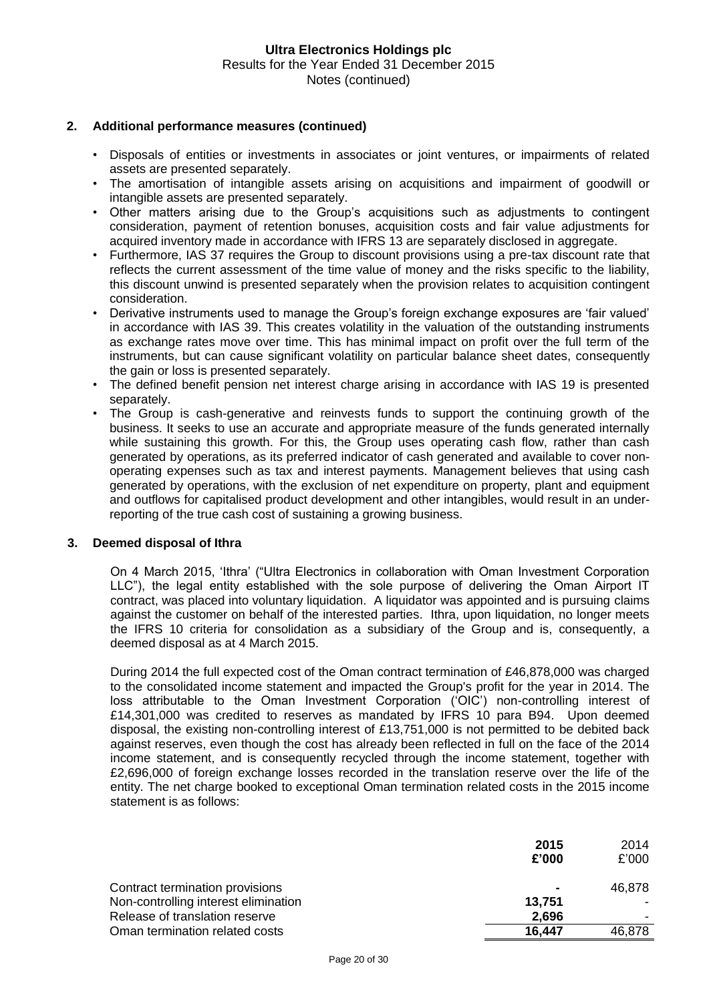### **2. Additional performance measures (continued)**

- Disposals of entities or investments in associates or joint ventures, or impairments of related assets are presented separately.
- The amortisation of intangible assets arising on acquisitions and impairment of goodwill or intangible assets are presented separately.
- Other matters arising due to the Group's acquisitions such as adjustments to contingent consideration, payment of retention bonuses, acquisition costs and fair value adjustments for acquired inventory made in accordance with IFRS 13 are separately disclosed in aggregate.
- Furthermore, IAS 37 requires the Group to discount provisions using a pre-tax discount rate that reflects the current assessment of the time value of money and the risks specific to the liability, this discount unwind is presented separately when the provision relates to acquisition contingent consideration.
- Derivative instruments used to manage the Group's foreign exchange exposures are 'fair valued' in accordance with IAS 39. This creates volatility in the valuation of the outstanding instruments as exchange rates move over time. This has minimal impact on profit over the full term of the instruments, but can cause significant volatility on particular balance sheet dates, consequently the gain or loss is presented separately.
- The defined benefit pension net interest charge arising in accordance with IAS 19 is presented separately.
- The Group is cash-generative and reinvests funds to support the continuing growth of the business. It seeks to use an accurate and appropriate measure of the funds generated internally while sustaining this growth. For this, the Group uses operating cash flow, rather than cash generated by operations, as its preferred indicator of cash generated and available to cover nonoperating expenses such as tax and interest payments. Management believes that using cash generated by operations, with the exclusion of net expenditure on property, plant and equipment and outflows for capitalised product development and other intangibles, would result in an underreporting of the true cash cost of sustaining a growing business.

#### **3. Deemed disposal of Ithra**

On 4 March 2015, 'Ithra' ("Ultra Electronics in collaboration with Oman Investment Corporation LLC"), the legal entity established with the sole purpose of delivering the Oman Airport IT contract, was placed into voluntary liquidation. A liquidator was appointed and is pursuing claims against the customer on behalf of the interested parties. Ithra, upon liquidation, no longer meets the IFRS 10 criteria for consolidation as a subsidiary of the Group and is, consequently, a deemed disposal as at 4 March 2015.

During 2014 the full expected cost of the Oman contract termination of £46,878,000 was charged to the consolidated income statement and impacted the Group's profit for the year in 2014. The loss attributable to the Oman Investment Corporation ('OIC') non-controlling interest of £14,301,000 was credited to reserves as mandated by IFRS 10 para B94. Upon deemed disposal, the existing non-controlling interest of £13,751,000 is not permitted to be debited back against reserves, even though the cost has already been reflected in full on the face of the 2014 income statement, and is consequently recycled through the income statement, together with £2,696,000 of foreign exchange losses recorded in the translation reserve over the life of the entity. The net charge booked to exceptional Oman termination related costs in the 2015 income statement is as follows:

|                                      | 2015   | 2014   |
|--------------------------------------|--------|--------|
|                                      | £'000  | £'000  |
| Contract termination provisions      | ۰      | 46,878 |
| Non-controlling interest elimination | 13,751 |        |
| Release of translation reserve       | 2.696  |        |
| Oman termination related costs       | 16.447 | 46,878 |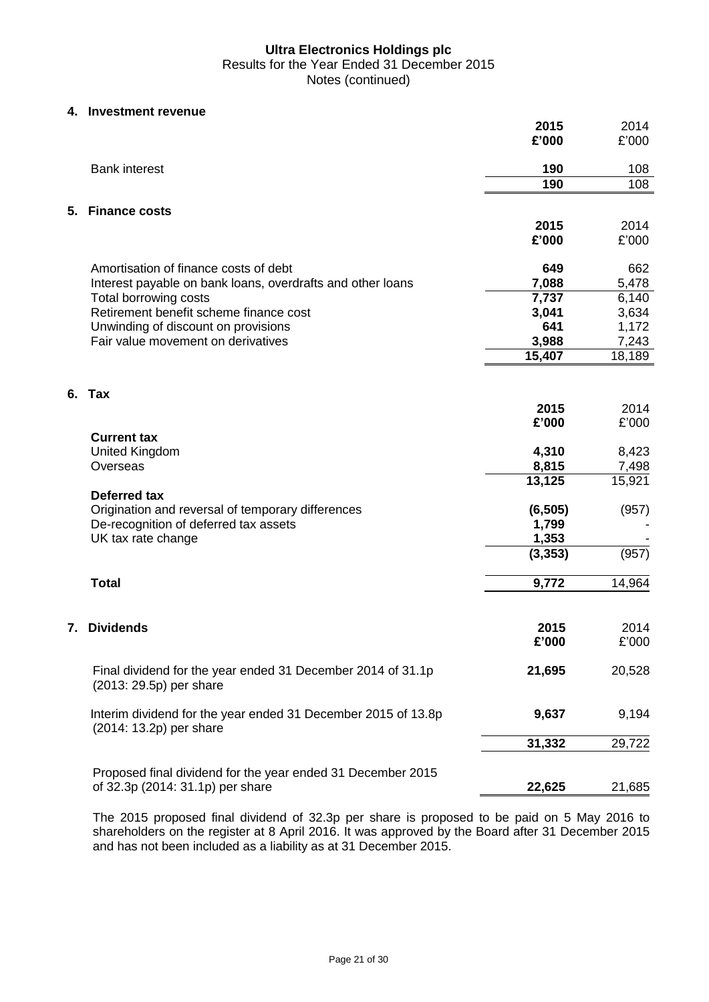#### **4. Investment revenue**

|                                                                                          | 2015<br>£'000     | 2014<br>£'000 |
|------------------------------------------------------------------------------------------|-------------------|---------------|
| <b>Bank interest</b>                                                                     | 190               | 108           |
|                                                                                          | 190               | 108           |
| <b>Finance costs</b><br>5.                                                               |                   |               |
|                                                                                          | 2015              | 2014          |
|                                                                                          | £'000             | £'000         |
| Amortisation of finance costs of debt                                                    | 649               | 662           |
| Interest payable on bank loans, overdrafts and other loans                               | 7,088             | 5,478         |
| Total borrowing costs                                                                    | 7,737             | 6,140         |
| Retirement benefit scheme finance cost                                                   | 3,041             | 3,634         |
| Unwinding of discount on provisions                                                      | 641               | 1,172         |
| Fair value movement on derivatives                                                       | 3,988             | 7,243         |
|                                                                                          | 15,407            | 18,189        |
| 6. Tax                                                                                   |                   |               |
|                                                                                          | 2015              | 2014          |
|                                                                                          | £'000             | £'000         |
| <b>Current tax</b>                                                                       |                   |               |
| <b>United Kingdom</b>                                                                    | 4,310             | 8,423         |
| Overseas                                                                                 | 8,815             | 7,498         |
|                                                                                          | 13,125            | 15,921        |
| <b>Deferred tax</b>                                                                      |                   |               |
| Origination and reversal of temporary differences                                        | (6, 505)          | (957)         |
| De-recognition of deferred tax assets<br>UK tax rate change                              | 1,799             |               |
|                                                                                          | 1,353<br>(3, 353) | (957)         |
|                                                                                          |                   |               |
| <b>Total</b>                                                                             | 9,772             | 14,964        |
|                                                                                          |                   |               |
| <b>Dividends</b><br>7.                                                                   | 2015              | 2014          |
|                                                                                          | £'000             | £'000         |
| Final dividend for the year ended 31 December 2014 of 31.1p<br>(2013: 29.5p) per share   | 21,695            | 20,528        |
|                                                                                          |                   |               |
| Interim dividend for the year ended 31 December 2015 of 13.8p<br>(2014: 13.2p) per share | 9,637             | 9,194         |
|                                                                                          | 31,332            | 29,722        |
| Proposed final dividend for the year ended 31 December 2015                              |                   |               |
| of 32.3p (2014: 31.1p) per share                                                         | 22,625            | 21,685        |

The 2015 proposed final dividend of 32.3p per share is proposed to be paid on 5 May 2016 to shareholders on the register at 8 April 2016. It was approved by the Board after 31 December 2015 and has not been included as a liability as at 31 December 2015.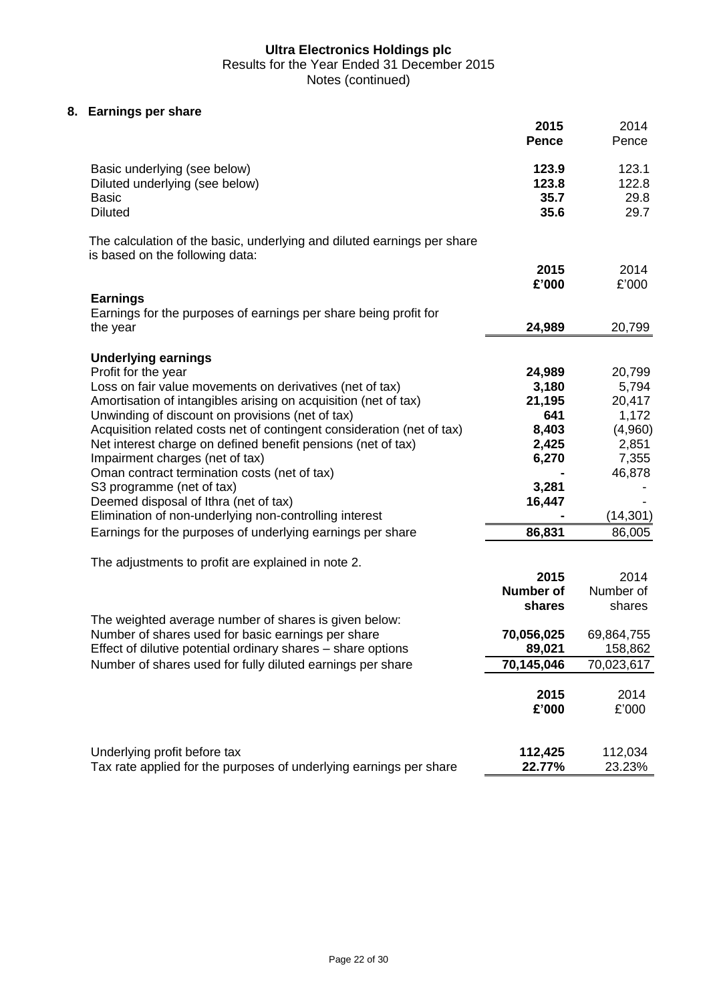Results for the Year Ended 31 December 2015

Notes (continued)

# **8. Earnings per share**

|                                                                                                                             | 2015<br><b>Pence</b>           | 2014<br>Pence                  |
|-----------------------------------------------------------------------------------------------------------------------------|--------------------------------|--------------------------------|
| Basic underlying (see below)<br>Diluted underlying (see below)<br><b>Basic</b><br><b>Diluted</b>                            | 123.9<br>123.8<br>35.7<br>35.6 | 123.1<br>122.8<br>29.8<br>29.7 |
| The calculation of the basic, underlying and diluted earnings per share<br>is based on the following data:                  |                                |                                |
|                                                                                                                             | 2015<br>£'000                  | 2014<br>£'000                  |
| <b>Earnings</b><br>Earnings for the purposes of earnings per share being profit for<br>the year                             | 24,989                         | 20,799                         |
| <b>Underlying earnings</b>                                                                                                  |                                |                                |
| Profit for the year                                                                                                         | 24,989                         | 20,799                         |
| Loss on fair value movements on derivatives (net of tax)<br>Amortisation of intangibles arising on acquisition (net of tax) | 3,180<br>21,195                | 5,794<br>20,417                |
| Unwinding of discount on provisions (net of tax)                                                                            | 641                            | 1,172                          |
| Acquisition related costs net of contingent consideration (net of tax)                                                      | 8,403                          | (4,960)                        |
| Net interest charge on defined benefit pensions (net of tax)                                                                | 2,425                          | 2,851                          |
| Impairment charges (net of tax)                                                                                             | 6,270                          | 7,355                          |
| Oman contract termination costs (net of tax)                                                                                |                                | 46,878                         |
| S3 programme (net of tax)                                                                                                   | 3,281                          |                                |
| Deemed disposal of Ithra (net of tax)                                                                                       | 16,447                         |                                |
| Elimination of non-underlying non-controlling interest                                                                      |                                | (14, 301)                      |
| Earnings for the purposes of underlying earnings per share                                                                  | 86,831                         | 86,005                         |
| The adjustments to profit are explained in note 2.                                                                          |                                |                                |
|                                                                                                                             | 2015                           | 2014                           |
|                                                                                                                             | <b>Number of</b>               | Number of                      |
|                                                                                                                             | shares                         | shares                         |
| The weighted average number of shares is given below:                                                                       |                                |                                |
| Number of shares used for basic earnings per share                                                                          | 70,056,025                     | 69,864,755                     |
| Effect of dilutive potential ordinary shares - share options<br>Number of shares used for fully diluted earnings per share  | 89,021<br>70,145,046           | 158,862<br>70,023,617          |
|                                                                                                                             |                                |                                |
|                                                                                                                             | 2015                           | 2014                           |
|                                                                                                                             | £'000                          | £'000                          |
|                                                                                                                             |                                |                                |
| Underlying profit before tax                                                                                                | 112,425                        | 112,034                        |
| Tax rate applied for the purposes of underlying earnings per share                                                          | 22.77%                         | 23.23%                         |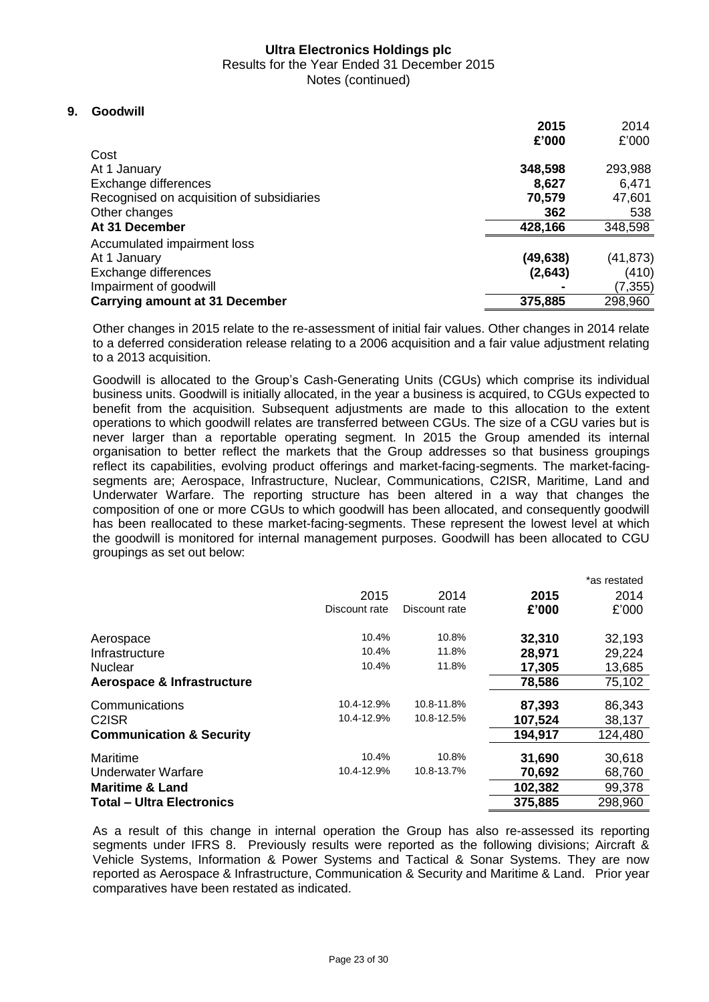Results for the Year Ended 31 December 2015

Notes (continued)

# **9. Goodwill**

|                                           | 2015      | 2014     |
|-------------------------------------------|-----------|----------|
|                                           | £'000     | £'000    |
| Cost                                      |           |          |
| At 1 January                              | 348,598   | 293,988  |
| Exchange differences                      | 8,627     | 6,471    |
| Recognised on acquisition of subsidiaries | 70,579    | 47,601   |
| Other changes                             | 362       | 538      |
| At 31 December                            | 428,166   | 348,598  |
| Accumulated impairment loss               |           |          |
| At 1 January                              | (49, 638) | (41,873) |
| Exchange differences                      | (2,643)   | (410)    |
| Impairment of goodwill                    |           | (7, 355) |
| <b>Carrying amount at 31 December</b>     | 375,885   | 298,960  |

Other changes in 2015 relate to the re-assessment of initial fair values. Other changes in 2014 relate to a deferred consideration release relating to a 2006 acquisition and a fair value adjustment relating to a 2013 acquisition.

Goodwill is allocated to the Group's Cash-Generating Units (CGUs) which comprise its individual business units. Goodwill is initially allocated, in the year a business is acquired, to CGUs expected to benefit from the acquisition. Subsequent adjustments are made to this allocation to the extent operations to which goodwill relates are transferred between CGUs. The size of a CGU varies but is never larger than a reportable operating segment. In 2015 the Group amended its internal organisation to better reflect the markets that the Group addresses so that business groupings reflect its capabilities, evolving product offerings and market-facing-segments. The market-facingsegments are; Aerospace, Infrastructure, Nuclear, Communications, C2ISR, Maritime, Land and Underwater Warfare. The reporting structure has been altered in a way that changes the composition of one or more CGUs to which goodwill has been allocated, and consequently goodwill has been reallocated to these market-facing-segments. These represent the lowest level at which the goodwill is monitored for internal management purposes. Goodwill has been allocated to CGU groupings as set out below:

|                                     |               |               |         | *as restated |
|-------------------------------------|---------------|---------------|---------|--------------|
|                                     | 2015          | 2014          | 2015    | 2014         |
|                                     | Discount rate | Discount rate | £'000   | £'000        |
| Aerospace                           | 10.4%         | 10.8%         | 32,310  | 32,193       |
| Infrastructure                      | 10.4%         | 11.8%         | 28,971  | 29,224       |
| <b>Nuclear</b>                      | 10.4%         | 11.8%         | 17,305  | 13,685       |
| Aerospace & Infrastructure          |               |               | 78,586  | 75,102       |
| Communications                      | 10.4-12.9%    | 10.8-11.8%    | 87,393  | 86,343       |
| C <sub>2</sub> ISR                  | 10.4-12.9%    | 10.8-12.5%    | 107,524 | 38,137       |
| <b>Communication &amp; Security</b> |               |               | 194,917 | 124,480      |
| Maritime                            | 10.4%         | 10.8%         | 31,690  | 30,618       |
| Underwater Warfare                  | 10.4-12.9%    | 10.8-13.7%    | 70,692  | 68,760       |
| <b>Maritime &amp; Land</b>          |               |               | 102,382 | 99,378       |
| <b>Total - Ultra Electronics</b>    |               |               | 375,885 | 298,960      |

As a result of this change in internal operation the Group has also re-assessed its reporting segments under IFRS 8. Previously results were reported as the following divisions; Aircraft & Vehicle Systems, Information & Power Systems and Tactical & Sonar Systems. They are now reported as Aerospace & Infrastructure, Communication & Security and Maritime & Land. Prior year comparatives have been restated as indicated.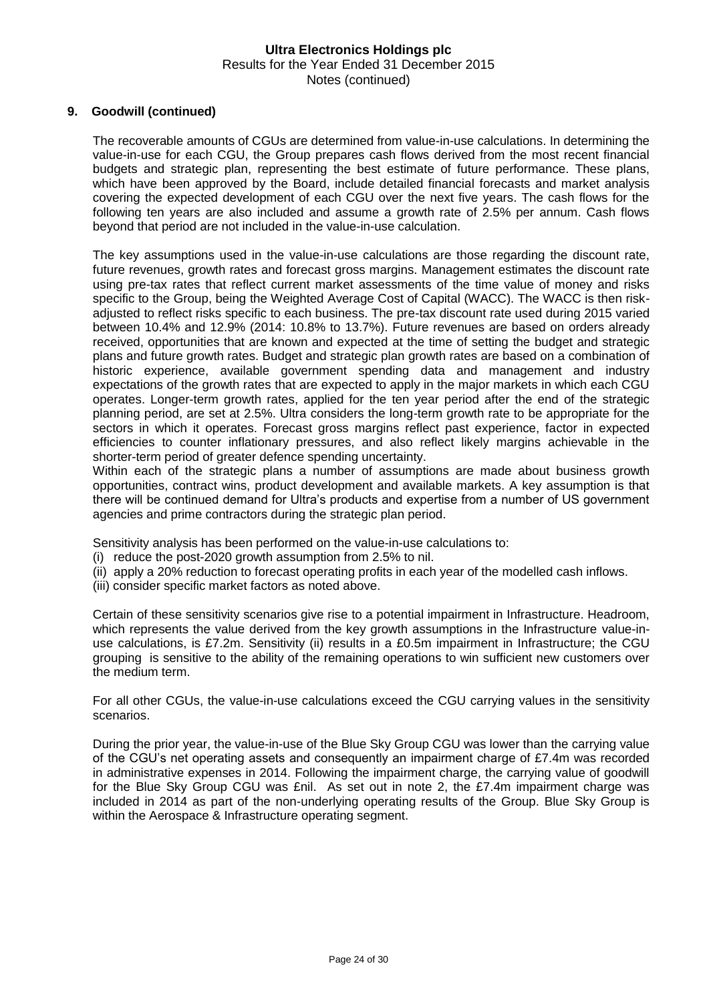### **9. Goodwill (continued)**

The recoverable amounts of CGUs are determined from value-in-use calculations. In determining the value-in-use for each CGU, the Group prepares cash flows derived from the most recent financial budgets and strategic plan, representing the best estimate of future performance. These plans, which have been approved by the Board, include detailed financial forecasts and market analysis covering the expected development of each CGU over the next five years. The cash flows for the following ten years are also included and assume a growth rate of 2.5% per annum. Cash flows beyond that period are not included in the value-in-use calculation.

The key assumptions used in the value-in-use calculations are those regarding the discount rate, future revenues, growth rates and forecast gross margins. Management estimates the discount rate using pre-tax rates that reflect current market assessments of the time value of money and risks specific to the Group, being the Weighted Average Cost of Capital (WACC). The WACC is then riskadjusted to reflect risks specific to each business. The pre-tax discount rate used during 2015 varied between 10.4% and 12.9% (2014: 10.8% to 13.7%). Future revenues are based on orders already received, opportunities that are known and expected at the time of setting the budget and strategic plans and future growth rates. Budget and strategic plan growth rates are based on a combination of historic experience, available government spending data and management and industry expectations of the growth rates that are expected to apply in the major markets in which each CGU operates. Longer-term growth rates, applied for the ten year period after the end of the strategic planning period, are set at 2.5%. Ultra considers the long-term growth rate to be appropriate for the sectors in which it operates. Forecast gross margins reflect past experience, factor in expected efficiencies to counter inflationary pressures, and also reflect likely margins achievable in the shorter-term period of greater defence spending uncertainty.

Within each of the strategic plans a number of assumptions are made about business growth opportunities, contract wins, product development and available markets. A key assumption is that there will be continued demand for Ultra's products and expertise from a number of US government agencies and prime contractors during the strategic plan period.

Sensitivity analysis has been performed on the value-in-use calculations to:

- (i) reduce the post-2020 growth assumption from 2.5% to nil.
- (ii) apply a 20% reduction to forecast operating profits in each year of the modelled cash inflows.
- (iii) consider specific market factors as noted above.

Certain of these sensitivity scenarios give rise to a potential impairment in Infrastructure. Headroom, which represents the value derived from the key growth assumptions in the Infrastructure value-inuse calculations, is £7.2m. Sensitivity (ii) results in a £0.5m impairment in Infrastructure; the CGU grouping is sensitive to the ability of the remaining operations to win sufficient new customers over the medium term.

For all other CGUs, the value-in-use calculations exceed the CGU carrying values in the sensitivity scenarios.

During the prior year, the value-in-use of the Blue Sky Group CGU was lower than the carrying value of the CGU's net operating assets and consequently an impairment charge of £7.4m was recorded in administrative expenses in 2014. Following the impairment charge, the carrying value of goodwill for the Blue Sky Group CGU was £nil. As set out in note 2, the £7.4m impairment charge was included in 2014 as part of the non-underlying operating results of the Group. Blue Sky Group is within the Aerospace & Infrastructure operating segment.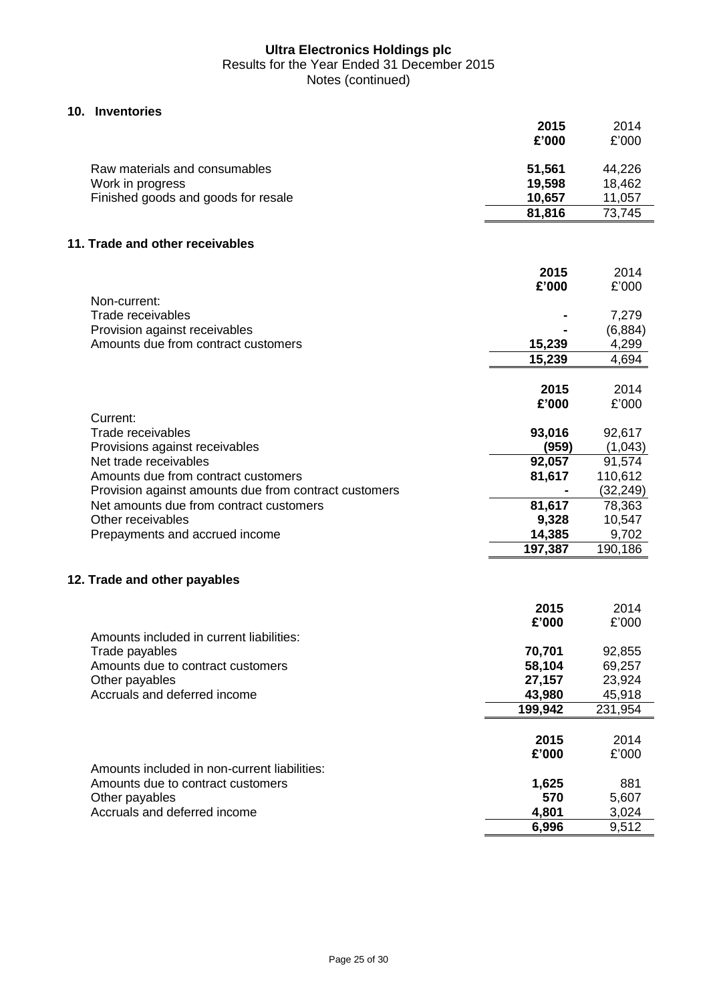# **10. Inventories**

|                                                       | 2015<br>£'000 | 2014<br>£'000 |
|-------------------------------------------------------|---------------|---------------|
| Raw materials and consumables                         | 51,561        | 44,226        |
| Work in progress                                      | 19,598        | 18,462        |
| Finished goods and goods for resale                   | 10,657        | 11,057        |
|                                                       | 81,816        | 73,745        |
| 11. Trade and other receivables                       |               |               |
|                                                       | 2015          | 2014          |
|                                                       | £'000         | £'000         |
| Non-current:                                          |               |               |
| Trade receivables                                     |               | 7,279         |
| Provision against receivables                         |               | (6,884)       |
| Amounts due from contract customers                   | 15,239        | 4,299         |
|                                                       | 15,239        | 4,694         |
|                                                       | 2015          | 2014          |
|                                                       | £'000         | £'000         |
| Current:                                              |               |               |
| Trade receivables                                     | 93,016        | 92,617        |
| Provisions against receivables                        | (959)         | (1,043)       |
| Net trade receivables                                 | 92,057        | 91,574        |
| Amounts due from contract customers                   | 81,617        | 110,612       |
| Provision against amounts due from contract customers |               | (32, 249)     |
| Net amounts due from contract customers               | 81,617        | 78,363        |
| Other receivables                                     | 9,328         | 10,547        |
| Prepayments and accrued income                        | 14,385        | 9,702         |
|                                                       | 197,387       | 190,186       |
| 12. Trade and other payables                          |               |               |
|                                                       | 2015          | 2014          |
|                                                       | £'000         | £'000         |
| Amounts included in current liabilities:              |               |               |
| Trade payables                                        | 70,701        | 92,855        |
| Amounts due to contract customers                     | 58,104        | 69,257        |
| Other payables                                        | 27,157        | 23,924        |
| Accruals and deferred income                          | 43,980        | 45,918        |
|                                                       | 199,942       | 231,954       |
|                                                       | 2015          | 2014          |
|                                                       | £'000         | £'000         |
| Amounts included in non-current liabilities:          |               |               |
| Amounts due to contract customers                     | 1,625         | 881           |
| Other payables                                        | 570           | 5,607         |
| Accruals and deferred income                          | 4,801         | 3,024         |
|                                                       | 6,996         | 9,512         |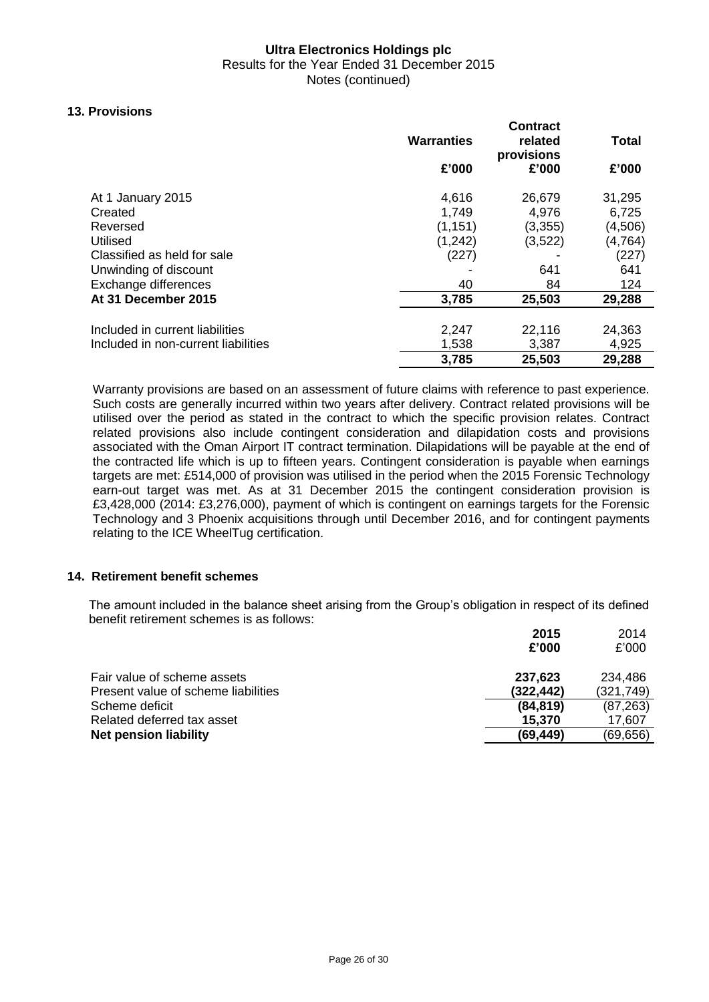Results for the Year Ended 31 December 2015 Notes (continued)

# **13. Provisions**

|                                     |                   | <b>Contract</b> |          |
|-------------------------------------|-------------------|-----------------|----------|
|                                     | <b>Warranties</b> | related         | Total    |
|                                     |                   | provisions      |          |
|                                     | £'000             | £'000           | £'000    |
| At 1 January 2015                   | 4,616             | 26,679          | 31,295   |
| Created                             | 1,749             | 4,976           | 6,725    |
| Reversed                            | (1, 151)          | (3,355)         | (4,506)  |
| Utilised                            | (1, 242)          | (3,522)         | (4, 764) |
| Classified as held for sale         | (227)             |                 | (227)    |
| Unwinding of discount               |                   | 641             | 641      |
| Exchange differences                | 40                | 84              | 124      |
| At 31 December 2015                 | 3,785             | 25,503          | 29,288   |
|                                     |                   |                 |          |
| Included in current liabilities     | 2,247             | 22,116          | 24,363   |
| Included in non-current liabilities | 1,538             | 3,387           | 4,925    |
|                                     | 3,785             | 25,503          | 29,288   |

Warranty provisions are based on an assessment of future claims with reference to past experience. Such costs are generally incurred within two years after delivery. Contract related provisions will be utilised over the period as stated in the contract to which the specific provision relates. Contract related provisions also include contingent consideration and dilapidation costs and provisions associated with the Oman Airport IT contract termination. Dilapidations will be payable at the end of the contracted life which is up to fifteen years. Contingent consideration is payable when earnings targets are met: £514,000 of provision was utilised in the period when the 2015 Forensic Technology earn-out target was met. As at 31 December 2015 the contingent consideration provision is £3,428,000 (2014: £3,276,000), payment of which is contingent on earnings targets for the Forensic Technology and 3 Phoenix acquisitions through until December 2016, and for contingent payments relating to the ICE WheelTug certification.

#### **14. Retirement benefit schemes**

The amount included in the balance sheet arising from the Group's obligation in respect of its defined benefit retirement schemes is as follows:

|                                                                    | £'000                 | £'000                 |
|--------------------------------------------------------------------|-----------------------|-----------------------|
| Fair value of scheme assets<br>Present value of scheme liabilities | 237,623<br>(322, 442) | 234,486<br>(321, 749) |
| Scheme deficit                                                     | (84, 819)             | (87, 263)             |
| Related deferred tax asset                                         | 15,370                | 17,607                |
| <b>Net pension liability</b>                                       | (69, 449)             | (69, 656)             |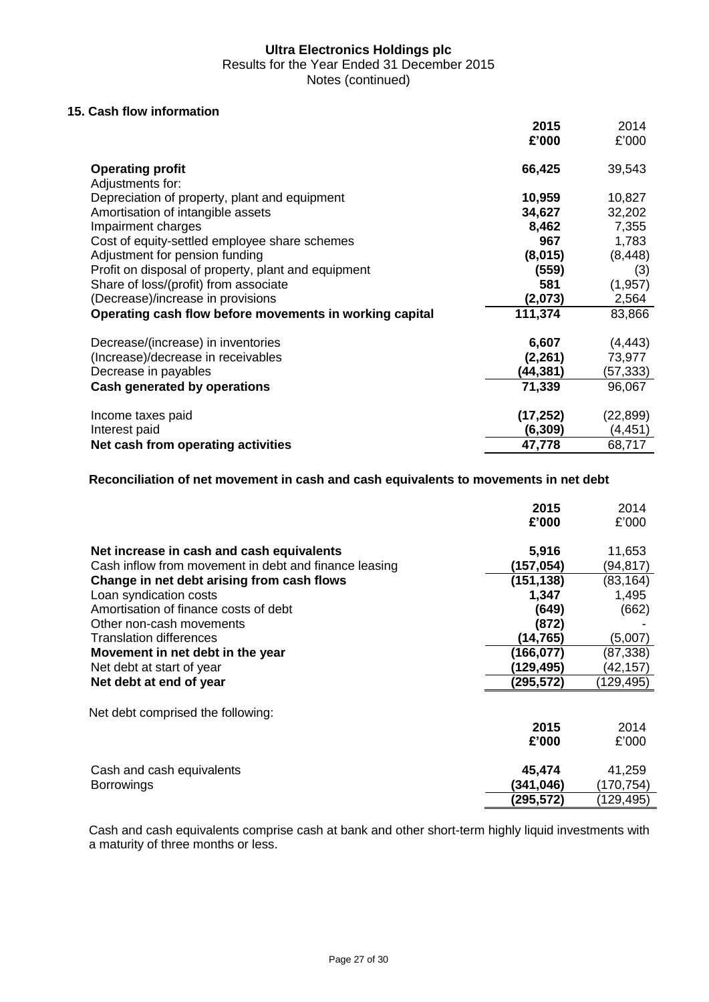Results for the Year Ended 31 December 2015

Notes (continued)

# **15. Cash flow information**

|                                                         | 2015      | 2014      |
|---------------------------------------------------------|-----------|-----------|
|                                                         | £'000     | £'000     |
| <b>Operating profit</b>                                 | 66,425    | 39,543    |
| Adjustments for:                                        |           |           |
| Depreciation of property, plant and equipment           | 10,959    | 10,827    |
| Amortisation of intangible assets                       | 34,627    | 32,202    |
| Impairment charges                                      | 8,462     | 7,355     |
| Cost of equity-settled employee share schemes           | 967       | 1,783     |
| Adjustment for pension funding                          | (8,015)   | (8, 448)  |
| Profit on disposal of property, plant and equipment     | (559)     | (3)       |
| Share of loss/(profit) from associate                   | 581       | (1, 957)  |
| (Decrease)/increase in provisions                       | (2,073)   | 2,564     |
| Operating cash flow before movements in working capital | 111,374   | 83,866    |
| Decrease/(increase) in inventories                      | 6,607     | (4, 443)  |
| (Increase)/decrease in receivables                      | (2, 261)  | 73,977    |
| Decrease in payables                                    | (44,381)  | (57,333)  |
| Cash generated by operations                            | 71,339    | 96,067    |
| Income taxes paid                                       | (17, 252) | (22, 899) |
| Interest paid                                           | (6, 309)  | (4, 451)  |
| Net cash from operating activities                      | 47,778    | 68,717    |

# **Reconciliation of net movement in cash and cash equivalents to movements in net debt**

|                                                       | 2015<br>£'000 | 2014<br>£'000 |
|-------------------------------------------------------|---------------|---------------|
| Net increase in cash and cash equivalents             | 5,916         | 11,653        |
| Cash inflow from movement in debt and finance leasing | (157,054)     | (94,817)      |
| Change in net debt arising from cash flows            | (151, 138)    | (83, 164)     |
| Loan syndication costs                                | 1,347         | 1,495         |
| Amortisation of finance costs of debt                 | (649)         | (662)         |
| Other non-cash movements                              | (872)         |               |
| <b>Translation differences</b>                        | (14,765)      | (5,007)       |
| Movement in net debt in the year                      | (166,077)     | (87,338)      |
| Net debt at start of year                             | (129, 495)    | (42,157)      |
| Net debt at end of year                               | (295,572)     | (129, 495)    |
| Net debt comprised the following:                     |               |               |
|                                                       | 2015          | 2014          |
|                                                       | £'000         | £'000         |
| Cash and cash equivalents                             | 45,474        | 41,259        |
| <b>Borrowings</b>                                     | (341,046)     | (170, 754)    |
|                                                       | (295,572)     | (129, 495)    |

Cash and cash equivalents comprise cash at bank and other short-term highly liquid investments with a maturity of three months or less.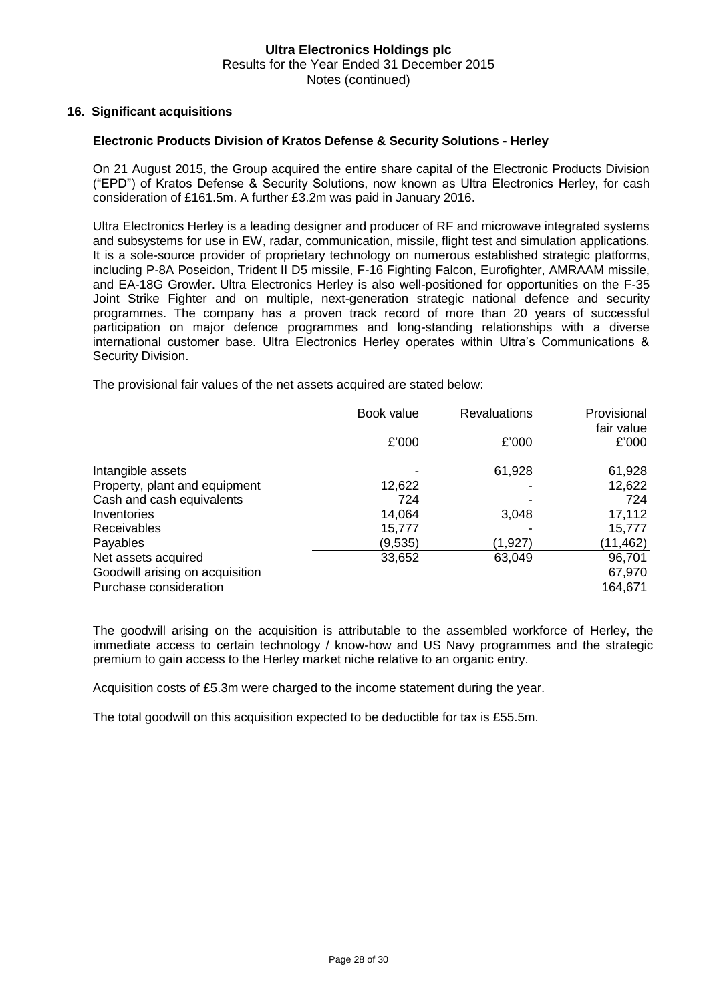#### **16. Significant acquisitions**

#### **Electronic Products Division of Kratos Defense & Security Solutions - Herley**

On 21 August 2015, the Group acquired the entire share capital of the Electronic Products Division ("EPD") of Kratos Defense & Security Solutions, now known as Ultra Electronics Herley, for cash consideration of £161.5m. A further £3.2m was paid in January 2016.

Ultra Electronics Herley is a leading designer and producer of RF and microwave integrated systems and subsystems for use in EW, radar, communication, missile, flight test and simulation applications. It is a sole-source provider of proprietary technology on numerous established strategic platforms, including P-8A Poseidon, Trident II D5 missile, F-16 Fighting Falcon, Eurofighter, AMRAAM missile, and EA-18G Growler. Ultra Electronics Herley is also well-positioned for opportunities on the F-35 Joint Strike Fighter and on multiple, next-generation strategic national defence and security programmes. The company has a proven track record of more than 20 years of successful participation on major defence programmes and long-standing relationships with a diverse international customer base. Ultra Electronics Herley operates within Ultra's Communications & Security Division.

The provisional fair values of the net assets acquired are stated below:

|                                 | Book value | <b>Revaluations</b> | Provisional<br>fair value |  |
|---------------------------------|------------|---------------------|---------------------------|--|
|                                 | £'000      | £'000               | £'000                     |  |
| Intangible assets               |            | 61,928              | 61,928                    |  |
| Property, plant and equipment   | 12,622     |                     | 12,622                    |  |
| Cash and cash equivalents       | 724        |                     | 724                       |  |
| Inventories                     | 14,064     | 3,048               | 17,112                    |  |
| Receivables                     | 15,777     |                     | 15,777                    |  |
| Payables                        | (9,535)    | (1,927)             | (11, 462)                 |  |
| Net assets acquired             | 33,652     | 63,049              | 96,701                    |  |
| Goodwill arising on acquisition |            |                     | 67,970                    |  |
| Purchase consideration          |            |                     | 164,671                   |  |

The goodwill arising on the acquisition is attributable to the assembled workforce of Herley, the immediate access to certain technology / know-how and US Navy programmes and the strategic premium to gain access to the Herley market niche relative to an organic entry.

Acquisition costs of £5.3m were charged to the income statement during the year.

The total goodwill on this acquisition expected to be deductible for tax is £55.5m.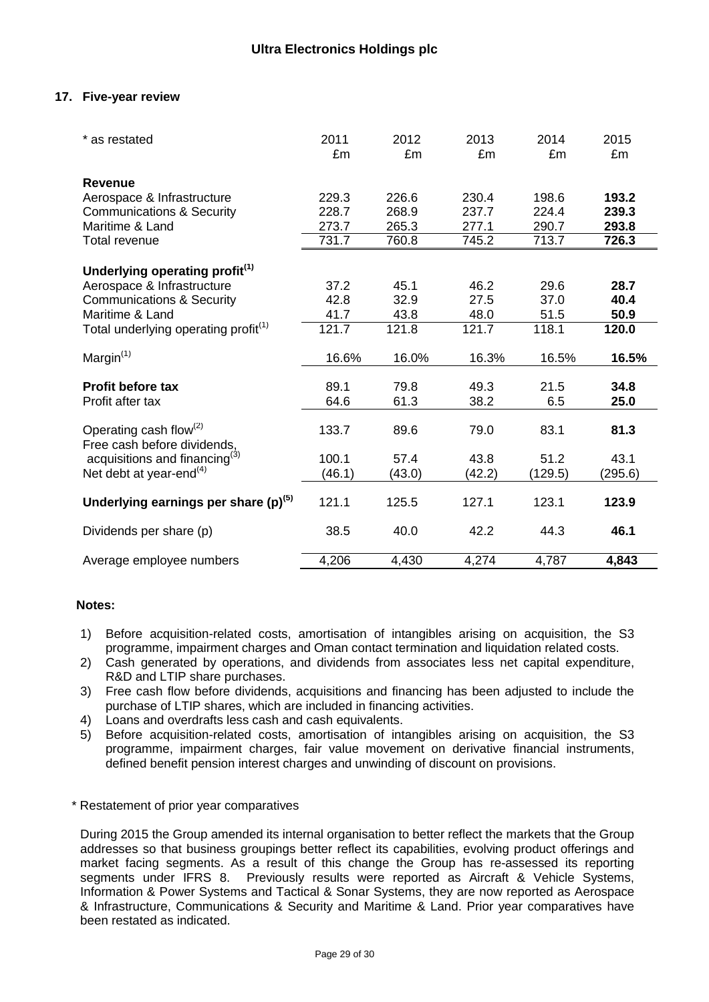# **17. Five-year review**

| * as restated                                                     | 2011<br>£m | 2012<br>£m | 2013<br>£m | 2014<br>£m | 2015<br>£m |
|-------------------------------------------------------------------|------------|------------|------------|------------|------------|
| <b>Revenue</b>                                                    |            |            |            |            |            |
| Aerospace & Infrastructure                                        | 229.3      | 226.6      | 230.4      | 198.6      | 193.2      |
| <b>Communications &amp; Security</b>                              | 228.7      | 268.9      | 237.7      | 224.4      | 239.3      |
| Maritime & Land                                                   | 273.7      | 265.3      | 277.1      | 290.7      | 293.8      |
| Total revenue                                                     | 731.7      | 760.8      | 745.2      | 713.7      | 726.3      |
| Underlying operating profit <sup>(1)</sup>                        |            |            |            |            |            |
| Aerospace & Infrastructure                                        | 37.2       | 45.1       | 46.2       | 29.6       | 28.7       |
| <b>Communications &amp; Security</b>                              | 42.8       | 32.9       | 27.5       | 37.0       | 40.4       |
| Maritime & Land                                                   | 41.7       | 43.8       | 48.0       | 51.5       | 50.9       |
| Total underlying operating profit <sup>(1)</sup>                  | 121.7      | 121.8      | 121.7      | 118.1      | 120.0      |
| Margin <sup>(1)</sup>                                             | 16.6%      | 16.0%      | 16.3%      | 16.5%      | 16.5%      |
| <b>Profit before tax</b>                                          | 89.1       | 79.8       | 49.3       | 21.5       | 34.8       |
| Profit after tax                                                  | 64.6       | 61.3       | 38.2       | 6.5        | 25.0       |
| Operating cash flow <sup>(2)</sup><br>Free cash before dividends, | 133.7      | 89.6       | 79.0       | 83.1       | 81.3       |
| acquisitions and financing <sup>(3)</sup>                         | 100.1      | 57.4       | 43.8       | 51.2       | 43.1       |
| Net debt at year-end $(4)$                                        | (46.1)     | (43.0)     | (42.2)     | (129.5)    | (295.6)    |
| Underlying earnings per share $(p)^{(5)}$                         | 121.1      | 125.5      | 127.1      | 123.1      | 123.9      |
| Dividends per share (p)                                           | 38.5       | 40.0       | 42.2       | 44.3       | 46.1       |
| Average employee numbers                                          | 4,206      | 4,430      | 4,274      | 4,787      | 4,843      |

#### **Notes:**

- 1) Before acquisition-related costs, amortisation of intangibles arising on acquisition, the S3 programme, impairment charges and Oman contact termination and liquidation related costs.
- 2) Cash generated by operations, and dividends from associates less net capital expenditure, R&D and LTIP share purchases.
- 3) Free cash flow before dividends, acquisitions and financing has been adjusted to include the purchase of LTIP shares, which are included in financing activities.
- 4) Loans and overdrafts less cash and cash equivalents.
- 5) Before acquisition-related costs, amortisation of intangibles arising on acquisition, the S3 programme, impairment charges, fair value movement on derivative financial instruments, defined benefit pension interest charges and unwinding of discount on provisions.

#### \* Restatement of prior year comparatives

During 2015 the Group amended its internal organisation to better reflect the markets that the Group addresses so that business groupings better reflect its capabilities, evolving product offerings and market facing segments. As a result of this change the Group has re-assessed its reporting segments under IFRS 8. Previously results were reported as Aircraft & Vehicle Systems, Information & Power Systems and Tactical & Sonar Systems, they are now reported as Aerospace & Infrastructure, Communications & Security and Maritime & Land. Prior year comparatives have been restated as indicated.